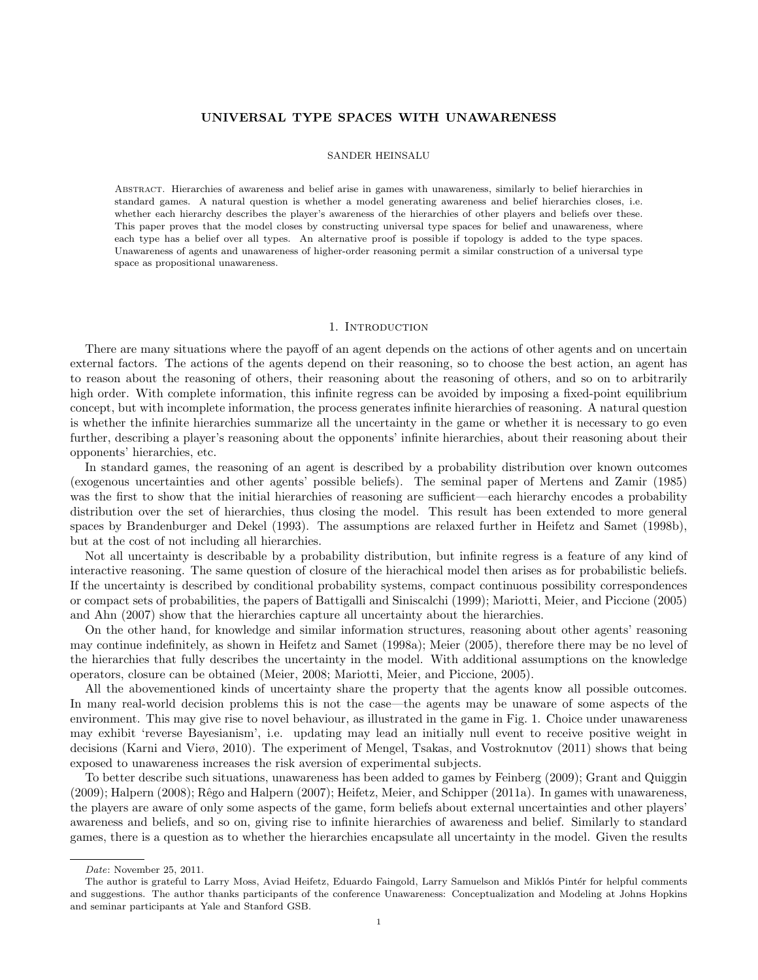# UNIVERSAL TYPE SPACES WITH UNAWARENESS

## SANDER HEINSALU

Abstract. Hierarchies of awareness and belief arise in games with unawareness, similarly to belief hierarchies in standard games. A natural question is whether a model generating awareness and belief hierarchies closes, i.e. whether each hierarchy describes the player's awareness of the hierarchies of other players and beliefs over these. This paper proves that the model closes by constructing universal type spaces for belief and unawareness, where each type has a belief over all types. An alternative proof is possible if topology is added to the type spaces. Unawareness of agents and unawareness of higher-order reasoning permit a similar construction of a universal type space as propositional unawareness.

#### 1. INTRODUCTION

There are many situations where the payoff of an agent depends on the actions of other agents and on uncertain external factors. The actions of the agents depend on their reasoning, so to choose the best action, an agent has to reason about the reasoning of others, their reasoning about the reasoning of others, and so on to arbitrarily high order. With complete information, this infinite regress can be avoided by imposing a fixed-point equilibrium concept, but with incomplete information, the process generates infinite hierarchies of reasoning. A natural question is whether the infinite hierarchies summarize all the uncertainty in the game or whether it is necessary to go even further, describing a player's reasoning about the opponents' infinite hierarchies, about their reasoning about their opponents' hierarchies, etc.

In standard games, the reasoning of an agent is described by a probability distribution over known outcomes (exogenous uncertainties and other agents' possible beliefs). The seminal paper of Mertens and Zamir (1985) was the first to show that the initial hierarchies of reasoning are sufficient—each hierarchy encodes a probability distribution over the set of hierarchies, thus closing the model. This result has been extended to more general spaces by Brandenburger and Dekel (1993). The assumptions are relaxed further in Heifetz and Samet (1998b), but at the cost of not including all hierarchies.

Not all uncertainty is describable by a probability distribution, but infinite regress is a feature of any kind of interactive reasoning. The same question of closure of the hierachical model then arises as for probabilistic beliefs. If the uncertainty is described by conditional probability systems, compact continuous possibility correspondences or compact sets of probabilities, the papers of Battigalli and Siniscalchi (1999); Mariotti, Meier, and Piccione (2005) and Ahn (2007) show that the hierarchies capture all uncertainty about the hierarchies.

On the other hand, for knowledge and similar information structures, reasoning about other agents' reasoning may continue indefinitely, as shown in Heifetz and Samet (1998a); Meier (2005), therefore there may be no level of the hierarchies that fully describes the uncertainty in the model. With additional assumptions on the knowledge operators, closure can be obtained (Meier, 2008; Mariotti, Meier, and Piccione, 2005).

All the abovementioned kinds of uncertainty share the property that the agents know all possible outcomes. In many real-world decision problems this is not the case—the agents may be unaware of some aspects of the environment. This may give rise to novel behaviour, as illustrated in the game in Fig. 1. Choice under unawareness may exhibit 'reverse Bayesianism', i.e. updating may lead an initially null event to receive positive weight in decisions (Karni and Vierø, 2010). The experiment of Mengel, Tsakas, and Vostroknutov (2011) shows that being exposed to unawareness increases the risk aversion of experimental subjects.

To better describe such situations, unawareness has been added to games by Feinberg (2009); Grant and Quiggin (2009); Halpern (2008); Rˆego and Halpern (2007); Heifetz, Meier, and Schipper (2011a). In games with unawareness, the players are aware of only some aspects of the game, form beliefs about external uncertainties and other players' awareness and beliefs, and so on, giving rise to infinite hierarchies of awareness and belief. Similarly to standard games, there is a question as to whether the hierarchies encapsulate all uncertainty in the model. Given the results

Date: November 25, 2011.

The author is grateful to Larry Moss, Aviad Heifetz, Eduardo Faingold, Larry Samuelson and Miklós Pintér for helpful comments and suggestions. The author thanks participants of the conference Unawareness: Conceptualization and Modeling at Johns Hopkins and seminar participants at Yale and Stanford GSB.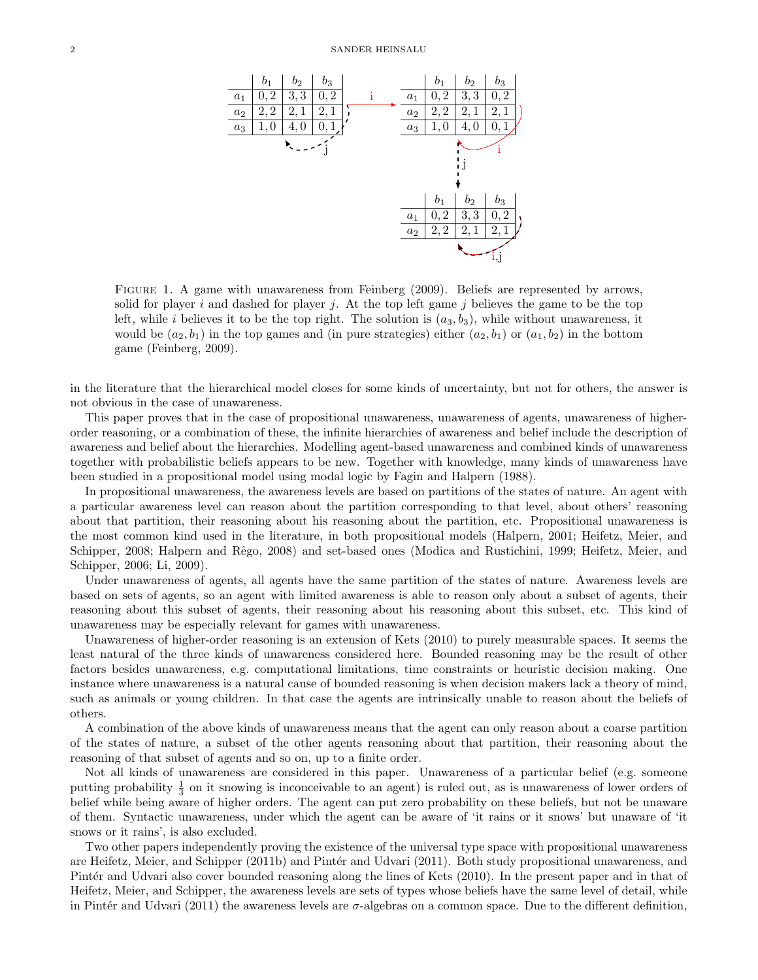

FIGURE 1. A game with unawareness from Feinberg (2009). Beliefs are represented by arrows, solid for player i and dashed for player j. At the top left game j believes the game to be the top left, while i believes it to be the top right. The solution is  $(a_3, b_3)$ , while without unawareness, it would be  $(a_2, b_1)$  in the top games and (in pure strategies) either  $(a_2, b_1)$  or  $(a_1, b_2)$  in the bottom game (Feinberg, 2009).

in the literature that the hierarchical model closes for some kinds of uncertainty, but not for others, the answer is not obvious in the case of unawareness.

This paper proves that in the case of propositional unawareness, unawareness of agents, unawareness of higherorder reasoning, or a combination of these, the infinite hierarchies of awareness and belief include the description of awareness and belief about the hierarchies. Modelling agent-based unawareness and combined kinds of unawareness together with probabilistic beliefs appears to be new. Together with knowledge, many kinds of unawareness have been studied in a propositional model using modal logic by Fagin and Halpern (1988).

In propositional unawareness, the awareness levels are based on partitions of the states of nature. An agent with a particular awareness level can reason about the partition corresponding to that level, about others' reasoning about that partition, their reasoning about his reasoning about the partition, etc. Propositional unawareness is the most common kind used in the literature, in both propositional models (Halpern, 2001; Heifetz, Meier, and Schipper, 2008; Halpern and Rêgo, 2008) and set-based ones (Modica and Rustichini, 1999; Heifetz, Meier, and Schipper, 2006; Li, 2009).

Under unawareness of agents, all agents have the same partition of the states of nature. Awareness levels are based on sets of agents, so an agent with limited awareness is able to reason only about a subset of agents, their reasoning about this subset of agents, their reasoning about his reasoning about this subset, etc. This kind of unawareness may be especially relevant for games with unawareness.

Unawareness of higher-order reasoning is an extension of Kets (2010) to purely measurable spaces. It seems the least natural of the three kinds of unawareness considered here. Bounded reasoning may be the result of other factors besides unawareness, e.g. computational limitations, time constraints or heuristic decision making. One instance where unawareness is a natural cause of bounded reasoning is when decision makers lack a theory of mind, such as animals or young children. In that case the agents are intrinsically unable to reason about the beliefs of others.

A combination of the above kinds of unawareness means that the agent can only reason about a coarse partition of the states of nature, a subset of the other agents reasoning about that partition, their reasoning about the reasoning of that subset of agents and so on, up to a finite order.

Not all kinds of unawareness are considered in this paper. Unawareness of a particular belief (e.g. someone putting probability  $\frac{1}{3}$  on it snowing is inconceivable to an agent) is ruled out, as is unawareness of lower orders of belief while being aware of higher orders. The agent can put zero probability on these beliefs, but not be unaware of them. Syntactic unawareness, under which the agent can be aware of 'it rains or it snows' but unaware of 'it snows or it rains', is also excluded.

Two other papers independently proving the existence of the universal type space with propositional unawareness are Heifetz, Meier, and Schipper (2011b) and Pintér and Udvari (2011). Both study propositional unawareness, and Pintér and Udvari also cover bounded reasoning along the lines of Kets (2010). In the present paper and in that of Heifetz, Meier, and Schipper, the awareness levels are sets of types whose beliefs have the same level of detail, while in Pintér and Udvari (2011) the awareness levels are  $\sigma$ -algebras on a common space. Due to the different definition,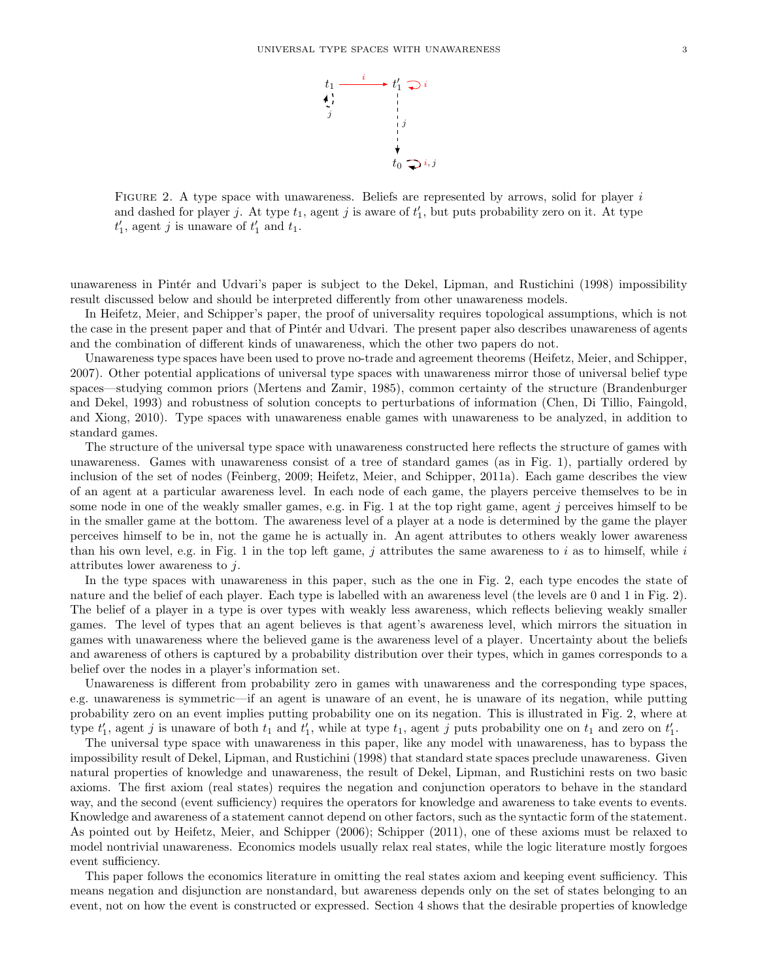

FIGURE 2. A type space with unawareness. Beliefs are represented by arrows, solid for player i and dashed for player j. At type  $t_1$ , agent j is aware of  $t'_1$ , but puts probability zero on it. At type  $t_1$ , agent j is unaware of  $t_1$  and  $t_1$ .

unawareness in Pintér and Udvari's paper is subject to the Dekel, Lipman, and Rustichini (1998) impossibility result discussed below and should be interpreted differently from other unawareness models.

In Heifetz, Meier, and Schipper's paper, the proof of universality requires topological assumptions, which is not the case in the present paper and that of Pintér and Udvari. The present paper also describes unawareness of agents and the combination of different kinds of unawareness, which the other two papers do not.

Unawareness type spaces have been used to prove no-trade and agreement theorems (Heifetz, Meier, and Schipper, 2007). Other potential applications of universal type spaces with unawareness mirror those of universal belief type spaces—studying common priors (Mertens and Zamir, 1985), common certainty of the structure (Brandenburger and Dekel, 1993) and robustness of solution concepts to perturbations of information (Chen, Di Tillio, Faingold, and Xiong, 2010). Type spaces with unawareness enable games with unawareness to be analyzed, in addition to standard games.

The structure of the universal type space with unawareness constructed here reflects the structure of games with unawareness. Games with unawareness consist of a tree of standard games (as in Fig. 1), partially ordered by inclusion of the set of nodes (Feinberg, 2009; Heifetz, Meier, and Schipper, 2011a). Each game describes the view of an agent at a particular awareness level. In each node of each game, the players perceive themselves to be in some node in one of the weakly smaller games, e.g. in Fig. 1 at the top right game, agent j perceives himself to be in the smaller game at the bottom. The awareness level of a player at a node is determined by the game the player perceives himself to be in, not the game he is actually in. An agent attributes to others weakly lower awareness than his own level, e.g. in Fig. 1 in the top left game, j attributes the same awareness to i as to himself, while i attributes lower awareness to  $i$ .

In the type spaces with unawareness in this paper, such as the one in Fig. 2, each type encodes the state of nature and the belief of each player. Each type is labelled with an awareness level (the levels are 0 and 1 in Fig. 2). The belief of a player in a type is over types with weakly less awareness, which reflects believing weakly smaller games. The level of types that an agent believes is that agent's awareness level, which mirrors the situation in games with unawareness where the believed game is the awareness level of a player. Uncertainty about the beliefs and awareness of others is captured by a probability distribution over their types, which in games corresponds to a belief over the nodes in a player's information set.

Unawareness is different from probability zero in games with unawareness and the corresponding type spaces, e.g. unawareness is symmetric—if an agent is unaware of an event, he is unaware of its negation, while putting probability zero on an event implies putting probability one on its negation. This is illustrated in Fig. 2, where at type  $t'_1$ , agent j is unaware of both  $t_1$  and  $t'_1$ , while at type  $t_1$ , agent j puts probability one on  $t_1$  and zero on  $t'_1$ .

The universal type space with unawareness in this paper, like any model with unawareness, has to bypass the impossibility result of Dekel, Lipman, and Rustichini (1998) that standard state spaces preclude unawareness. Given natural properties of knowledge and unawareness, the result of Dekel, Lipman, and Rustichini rests on two basic axioms. The first axiom (real states) requires the negation and conjunction operators to behave in the standard way, and the second (event sufficiency) requires the operators for knowledge and awareness to take events to events. Knowledge and awareness of a statement cannot depend on other factors, such as the syntactic form of the statement. As pointed out by Heifetz, Meier, and Schipper (2006); Schipper (2011), one of these axioms must be relaxed to model nontrivial unawareness. Economics models usually relax real states, while the logic literature mostly forgoes event sufficiency.

This paper follows the economics literature in omitting the real states axiom and keeping event sufficiency. This means negation and disjunction are nonstandard, but awareness depends only on the set of states belonging to an event, not on how the event is constructed or expressed. Section 4 shows that the desirable properties of knowledge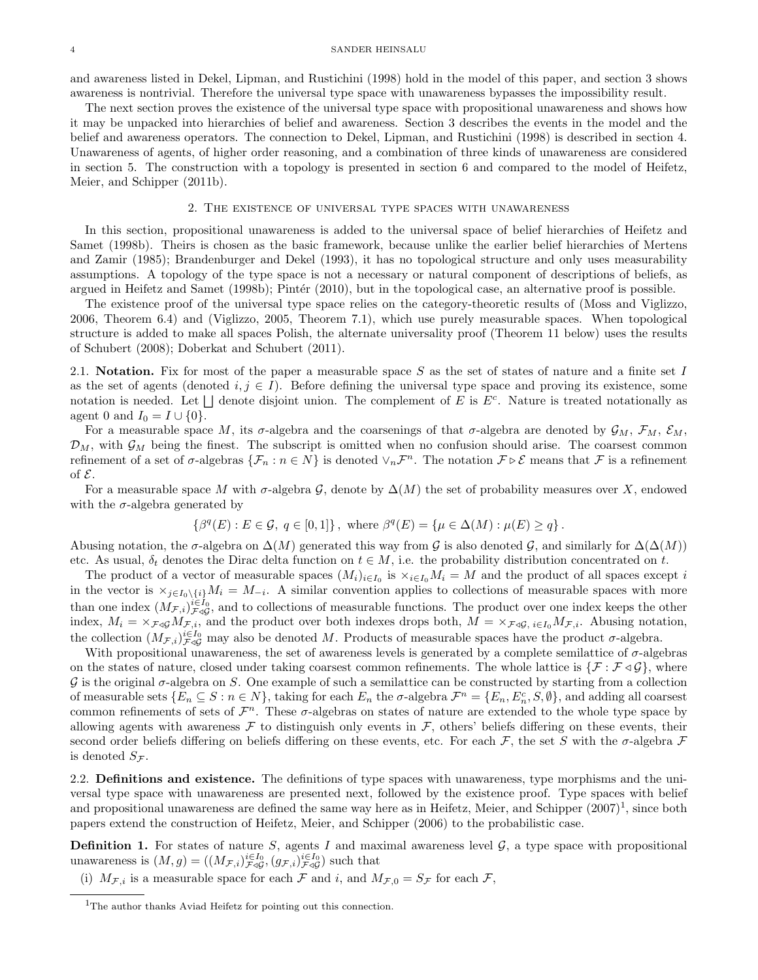and awareness listed in Dekel, Lipman, and Rustichini (1998) hold in the model of this paper, and section 3 shows awareness is nontrivial. Therefore the universal type space with unawareness bypasses the impossibility result.

The next section proves the existence of the universal type space with propositional unawareness and shows how it may be unpacked into hierarchies of belief and awareness. Section 3 describes the events in the model and the belief and awareness operators. The connection to Dekel, Lipman, and Rustichini (1998) is described in section 4. Unawareness of agents, of higher order reasoning, and a combination of three kinds of unawareness are considered in section 5. The construction with a topology is presented in section 6 and compared to the model of Heifetz, Meier, and Schipper (2011b).

#### 2. The existence of universal type spaces with unawareness

In this section, propositional unawareness is added to the universal space of belief hierarchies of Heifetz and Samet (1998b). Theirs is chosen as the basic framework, because unlike the earlier belief hierarchies of Mertens and Zamir (1985); Brandenburger and Dekel (1993), it has no topological structure and only uses measurability assumptions. A topology of the type space is not a necessary or natural component of descriptions of beliefs, as argued in Heifetz and Samet (1998b); Pintér (2010), but in the topological case, an alternative proof is possible.

The existence proof of the universal type space relies on the category-theoretic results of (Moss and Viglizzo, 2006, Theorem 6.4) and (Viglizzo, 2005, Theorem 7.1), which use purely measurable spaces. When topological structure is added to make all spaces Polish, the alternate universality proof (Theorem 11 below) uses the results of Schubert (2008); Doberkat and Schubert (2011).

2.1. Notation. Fix for most of the paper a measurable space S as the set of states of nature and a finite set I as the set of agents (denoted  $i, j \in I$ ). Before defining the universal type space and proving its existence, some notation is needed. Let  $\Box$  denote disjoint union. The complement of E is  $E^c$ . Nature is treated notationally as agent 0 and  $I_0 = I \cup \{0\}.$ 

For a measurable space M, its  $\sigma$ -algebra and the coarsenings of that  $\sigma$ -algebra are denoted by  $\mathcal{G}_M$ ,  $\mathcal{F}_M$ ,  $\mathcal{E}_M$ ,  $\mathcal{D}_M$ , with  $\mathcal{G}_M$  being the finest. The subscript is omitted when no confusion should arise. The coarsest common refinement of a set of  $\sigma$ -algebras  $\{\mathcal{F}_n : n \in N\}$  is denoted  $\vee_n \mathcal{F}^n$ . The notation  $\mathcal{F} \triangleright \mathcal{E}$  means that  $\mathcal{F}$  is a refinement of  $\mathcal{E}$ .

For a measurable space M with  $\sigma$ -algebra G, denote by  $\Delta(M)$  the set of probability measures over X, endowed with the  $\sigma$ -algebra generated by

$$
\left\{\beta^q(E) : E \in \mathcal{G}, \ q \in [0,1] \right\}, \text{ where } \beta^q(E) = \left\{\mu \in \Delta(M) : \mu(E) \ge q \right\}.
$$

Abusing notation, the  $\sigma$ -algebra on  $\Delta(M)$  generated this way from G is also denoted G, and similarly for  $\Delta(\Delta(M))$ etc. As usual,  $\delta_t$  denotes the Dirac delta function on  $t \in M$ , i.e. the probability distribution concentrated on t.

The product of a vector of measurable spaces  $(M_i)_{i\in I_0}$  is  $\times_{i\in I_0} M_i = M$  and the product of all spaces except i in the vector is  $\chi_{j\in I_0\setminus\{i\}}M_i = M_{-i}$ . A similar convention applies to collections of measurable spaces with more than one index  $(M_{\mathcal{F},i})_{\mathcal{F}\triangleleft\mathcal{G}}^{i\in I_0}$ , and to collections of measurable functions. The product over one index keeps the other index,  $M_i = \times_{\mathcal{F}\triangleleft\mathcal{G}} M_{\mathcal{F},i}$ , and the product over both indexes drops both,  $M = \times_{\mathcal{F}\triangleleft\mathcal{G}} M_{\mathcal{F},i}$ . Abusing notation, the collection  $(M_{\mathcal{F},i})_{\mathcal{F}\triangleleft\mathcal{G}}^{i\in I_0}$  may also be denoted M. Products of measurable spaces have the product  $\sigma$ -algebra.

With propositional unawareness, the set of awareness levels is generated by a complete semilattice of  $\sigma$ -algebras on the states of nature, closed under taking coarsest common refinements. The whole lattice is  $\{\mathcal{F} : \mathcal{F} \triangleleft \mathcal{G}\}\$ , where  $G$  is the original  $\sigma$ -algebra on S. One example of such a semilattice can be constructed by starting from a collection of measurable sets  $\{E_n \subseteq S : n \in N\}$ , taking for each  $E_n$  the  $\sigma$ -algebra  $\mathcal{F}^n = \{E_n, E_n^c, S, \emptyset\}$ , and adding all coarsest common refinements of sets of  $\mathcal{F}^n$ . These  $\sigma$ -algebras on states of nature are extended to the whole type space by allowing agents with awareness  $\mathcal F$  to distinguish only events in  $\mathcal F$ , others' beliefs differing on these events, their second order beliefs differing on beliefs differing on these events, etc. For each  $\mathcal F$ , the set S with the  $\sigma$ -algebra  $\mathcal F$ is denoted  $S_{\mathcal{F}}$ .

2.2. **Definitions and existence.** The definitions of type spaces with unawareness, type morphisms and the universal type space with unawareness are presented next, followed by the existence proof. Type spaces with belief and propositional unawareness are defined the same way here as in Heifetz, Meier, and Schipper  $(2007)^1$ , since both papers extend the construction of Heifetz, Meier, and Schipper (2006) to the probabilistic case.

**Definition 1.** For states of nature S, agents I and maximal awareness level  $\mathcal{G}$ , a type space with propositional unawareness is  $(M, g) = ((M_{\mathcal{F},i})_{\mathcal{F}\triangleleft\mathcal{G}}^{i\in I_0}, (g_{\mathcal{F},i})_{\mathcal{F}\triangleleft\mathcal{G}}^{i\in I_0})$  such that

(i)  $M_{\mathcal{F},i}$  is a measurable space for each  $\mathcal F$  and i, and  $M_{\mathcal{F},0} = S_{\mathcal{F}}$  for each  $\mathcal F$ ,

<sup>1</sup>The author thanks Aviad Heifetz for pointing out this connection.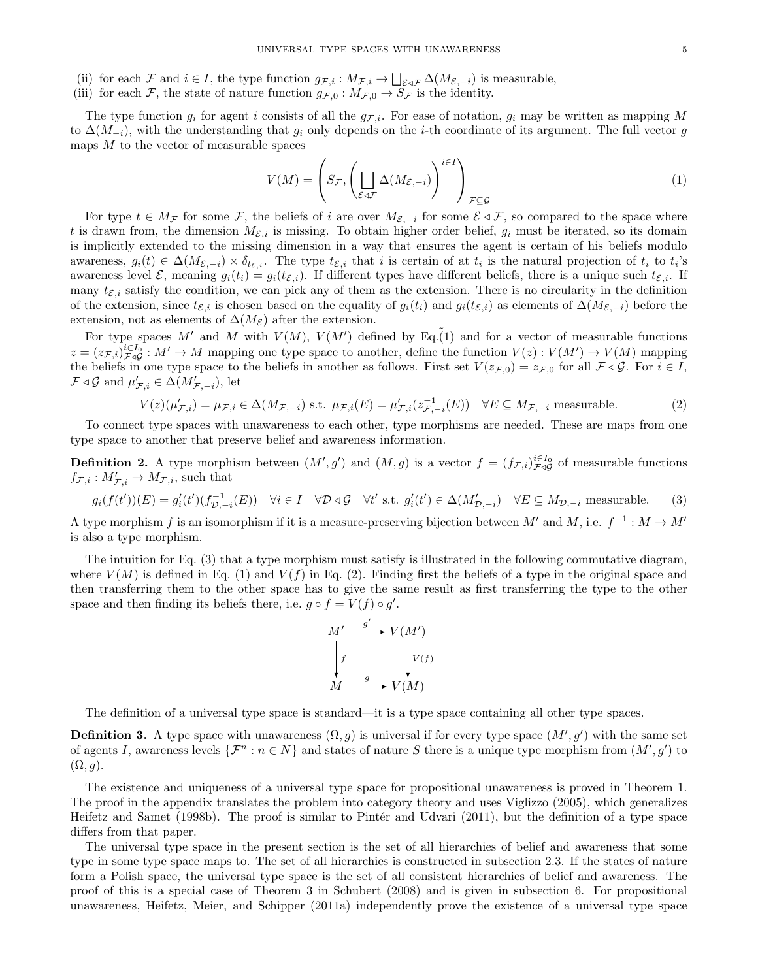- (ii) for each F and  $i \in I$ , the type function  $g_{\mathcal{F},i}: M_{\mathcal{F},i} \to \bigsqcup_{\mathcal{E} \triangleleft \mathcal{F}} \Delta(M_{\mathcal{E},-i})$  is measurable,
- (iii) for each F, the state of nature function  $g_{\mathcal{F},0} : M_{\mathcal{F},0} \to S_{\mathcal{F}}$  is the identity.

The type function  $g_i$  for agent i consists of all the  $g_{\mathcal{F},i}$ . For ease of notation,  $g_i$  may be written as mapping M to  $\Delta(M_{-i})$ , with the understanding that  $g_i$  only depends on the *i*-th coordinate of its argument. The full vector g maps  $M$  to the vector of measurable spaces

$$
V(M) = \left(S_{\mathcal{F}}, \left(\bigsqcup_{\mathcal{E}\triangleleft\mathcal{F}} \Delta(M_{\mathcal{E}, -i})\right)^{i\in I}\right)_{\mathcal{F}\subseteq\mathcal{G}}
$$
\n
$$
(1)
$$

For type  $t \in M_{\mathcal{F}}$  for some  $\mathcal{F}$ , the beliefs of i are over  $M_{\mathcal{E}, -i}$  for some  $\mathcal{E} \triangleleft \mathcal{F}$ , so compared to the space where t is drawn from, the dimension  $M_{\mathcal{E},i}$  is missing. To obtain higher order belief,  $g_i$  must be iterated, so its domain is implicitly extended to the missing dimension in a way that ensures the agent is certain of his beliefs modulo awareness,  $g_i(t) \in \Delta(M_{\mathcal{E},-i}) \times \delta_{t_{\mathcal{E},i}}$ . The type  $t_{\mathcal{E},i}$  that i is certain of at  $t_i$  is the natural projection of  $t_i$  to  $t_i$ 's awareness level  $\mathcal{E}$ , meaning  $g_i(t_i) = g_i(t_i)$ . If different types have different beliefs, there is a unique such  $t_{\mathcal{E},i}$ . If many  $t_{\mathcal{E},i}$  satisfy the condition, we can pick any of them as the extension. There is no circularity in the definition of the extension, since  $t_{\mathcal{E},i}$  is chosen based on the equality of  $g_i(t_i)$  and  $g_i(t_{\mathcal{E},i})$  as elements of  $\Delta(M_{\mathcal{E},-i})$  before the extension, not as elements of  $\Delta(M_{\mathcal{E}})$  after the extension.

For type spaces M' and M with  $V(M)$ ,  $V(M')$  defined by Eq.(1) and for a vector of measurable functions  $z = (z_{\mathcal{F},i})_{\mathcal{F}\triangleleft\mathcal{G}}^{i\in I_0}: M' \to M$  mapping one type space to another, define the function  $V(z): V(M') \to V(M)$  mapping the beliefs in one type space to the beliefs in another as follows. First set  $V(z_{\mathcal{F},0}) = z_{\mathcal{F},0}$  for all  $\mathcal{F} \triangleleft \mathcal{G}$ . For  $i \in I$ ,  $\mathcal{F} \triangleleft \mathcal{G}$  and  $\mu'_{\mathcal{F},i} \in \Delta(M'_{\mathcal{F},-i}),$  let

$$
V(z)(\mu'_{\mathcal{F},i}) = \mu_{\mathcal{F},i} \in \Delta(M_{\mathcal{F},-i}) \text{ s.t. } \mu_{\mathcal{F},i}(E) = \mu'_{\mathcal{F},i}(z_{\mathcal{F},-i}^{-1}(E)) \quad \forall E \subseteq M_{\mathcal{F},-i} \text{ measurable.}
$$
 (2)

To connect type spaces with unawareness to each other, type morphisms are needed. These are maps from one type space to another that preserve belief and awareness information.

**Definition 2.** A type morphism between  $(M', g')$  and  $(M, g)$  is a vector  $f = (f_{\mathcal{F},i})_{\mathcal{F}\triangleleft\mathcal{G}}^{i\in I_0}$  of measurable functions  $f_{\mathcal{F},i}: M'_{\mathcal{F},i} \to M_{\mathcal{F},i}$ , such that

$$
g_i(f(t'))(E) = g'_i(t')(f_{\mathcal{D},-i}^{-1}(E)) \quad \forall i \in I \quad \forall \mathcal{D} \triangleleft \mathcal{G} \quad \forall t' \text{ s.t. } g'_i(t') \in \Delta(M'_{\mathcal{D},-i}) \quad \forall E \subseteq M_{\mathcal{D},-i} \text{ measurable.} \tag{3}
$$

A type morphism f is an isomorphism if it is a measure-preserving bijection between M' and M, i.e.  $f^{-1}: M \to M'$ is also a type morphism.

The intuition for Eq. (3) that a type morphism must satisfy is illustrated in the following commutative diagram, where  $V(M)$  is defined in Eq. (1) and  $V(f)$  in Eq. (2). Finding first the beliefs of a type in the original space and then transferring them to the other space has to give the same result as first transferring the type to the other space and then finding its beliefs there, i.e.  $g \circ f = V(f) \circ g'$ .



The definition of a universal type space is standard—it is a type space containing all other type spaces.

**Definition 3.** A type space with unawareness  $(\Omega, g)$  is universal if for every type space  $(M', g')$  with the same set of agents I, awareness levels  $\{\mathcal{F}^n : n \in N\}$  and states of nature S there is a unique type morphism from  $(M', g')$  to  $(\Omega, g)$ .

The existence and uniqueness of a universal type space for propositional unawareness is proved in Theorem 1. The proof in the appendix translates the problem into category theory and uses Viglizzo (2005), which generalizes Heifetz and Samet (1998b). The proof is similar to Pintér and Udvari (2011), but the definition of a type space differs from that paper.

The universal type space in the present section is the set of all hierarchies of belief and awareness that some type in some type space maps to. The set of all hierarchies is constructed in subsection 2.3. If the states of nature form a Polish space, the universal type space is the set of all consistent hierarchies of belief and awareness. The proof of this is a special case of Theorem 3 in Schubert (2008) and is given in subsection 6. For propositional unawareness, Heifetz, Meier, and Schipper (2011a) independently prove the existence of a universal type space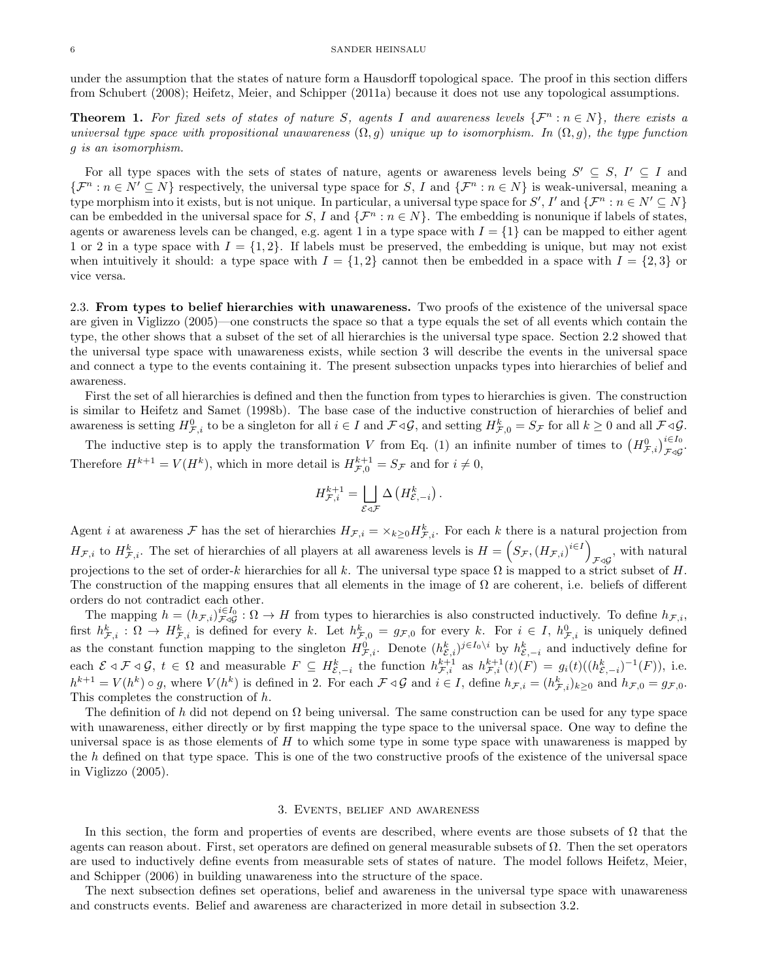under the assumption that the states of nature form a Hausdorff topological space. The proof in this section differs from Schubert (2008); Heifetz, Meier, and Schipper (2011a) because it does not use any topological assumptions.

**Theorem 1.** For fixed sets of states of nature S, agents I and awareness levels  $\{\mathcal{F}^n : n \in \mathbb{N}\}\$ , there exists a universal type space with propositional unawareness  $(\Omega, g)$  unique up to isomorphism. In  $(\Omega, g)$ , the type function g is an isomorphism.

For all type spaces with the sets of states of nature, agents or awareness levels being  $S' \subseteq S$ ,  $I' \subseteq I$  and  $\{\mathcal{F}^n : n \in \mathbb{N}' \subseteq \mathbb{N}\}\$  respectively, the universal type space for S, I and  $\{\mathcal{F}^n : n \in \mathbb{N}\}\$  is weak-universal, meaning a type morphism into it exists, but is not unique. In particular, a universal type space for  $S', I'$  and  $\{\mathcal{F}^n : n \in N' \subseteq N\}$ can be embedded in the universal space for S, I and  $\{\mathcal{F}^n : n \in \mathbb{N}\}\$ . The embedding is nonunique if labels of states, agents or awareness levels can be changed, e.g. agent 1 in a type space with  $I = \{1\}$  can be mapped to either agent 1 or 2 in a type space with  $I = \{1, 2\}$ . If labels must be preserved, the embedding is unique, but may not exist when intuitively it should: a type space with  $I = \{1, 2\}$  cannot then be embedded in a space with  $I = \{2, 3\}$  or vice versa.

2.3. From types to belief hierarchies with unawareness. Two proofs of the existence of the universal space are given in Viglizzo (2005)—one constructs the space so that a type equals the set of all events which contain the type, the other shows that a subset of the set of all hierarchies is the universal type space. Section 2.2 showed that the universal type space with unawareness exists, while section 3 will describe the events in the universal space and connect a type to the events containing it. The present subsection unpacks types into hierarchies of belief and awareness.

First the set of all hierarchies is defined and then the function from types to hierarchies is given. The construction is similar to Heifetz and Samet (1998b). The base case of the inductive construction of hierarchies of belief and awareness is setting  $H^0_{\mathcal{F},i}$  to be a singleton for all  $i \in I$  and  $\mathcal{F} \triangleleft \mathcal{G}$ , and setting  $H^k_{\mathcal{F},0} = S_{\mathcal{F}}$  for all  $k \geq 0$  and all  $\mathcal{F} \triangleleft \mathcal{G}$ .

The inductive step is to apply the transformation V from Eq. (1) an infinite number of times to  $(H_{\mathcal{F},i}^0)_{\mathcal{F}\triangleleft\mathcal{G}}^{i\in I_0}$ . Therefore  $H^{k+1} = V(H^k)$ , which in more detail is  $H^{k+1}_{\mathcal{F},0} = S_{\mathcal{F}}$  and for  $i \neq 0$ ,

$$
H^{k+1}_{\mathcal{F},i} = \bigsqcup_{\mathcal{E}\lhd \mathcal{F}} \Delta \left( H^k_{\mathcal{E},-i} \right).
$$

Agent *i* at awareness  $\mathcal F$  has the set of hierarchies  $H_{\mathcal F,i} = \times_{k\geq 0} H^k_{\mathcal F,i}$ . For each *k* there is a natural projection from  $H_{\mathcal{F},i}$  to  $H_{\mathcal{F},i}^k$ . The set of hierarchies of all players at all awareness levels is  $H = \left(S_{\mathcal{F}}, (H_{\mathcal{F},i})^{i \in I}\right)$  $\mathcal{F}\triangleleft\mathcal{G}$ , with natural projections to the set of order-k hierarchies for all k. The universal type space  $\Omega$  is mapped to a strict subset of H. The construction of the mapping ensures that all elements in the image of  $\Omega$  are coherent, i.e. beliefs of different orders do not contradict each other.

The mapping  $h = (h_{\mathcal{F},i})_{\mathcal{F}\triangleleft\mathcal{G}}^{i\in I_0} : \Omega \to H$  from types to hierarchies is also constructed inductively. To define  $h_{\mathcal{F},i}$ , first  $h_{\mathcal{F},i}^k: \Omega \to H_{\mathcal{F},i}^k$  is defined for every k. Let  $h_{\mathcal{F},0}^k = g_{\mathcal{F},0}$  for every k. For  $i \in I$ ,  $h_{\mathcal{F},i}^0$  is uniquely defined as the constant function mapping to the singleton  $H_{\mathcal{F},i}^0$ . Denote  $(h_{\mathcal{E},i}^k)^{j\in I_0\setminus i}$  by  $h_{\mathcal{E},-i}^k$  and inductively define for each  $\mathcal{E} \triangleleft \mathcal{F} \triangleleft \mathcal{G}, t \in \Omega$  and measurable  $F \subseteq H_{\mathcal{E}, -i}^k$  the function  $h_{\mathcal{F}, i}^{k+1}$  as  $h_{\mathcal{F}, i}^{k+1}(t)(F) = g_i(t)((h_{\mathcal{E}, -i}^k)^{-1}(F))$ , i.e.  $h^{k+1} = V(h^k) \circ g$ , where  $V(h^k)$  is defined in 2. For each  $\mathcal{F} \triangleleft \mathcal{G}$  and  $i \in I$ , define  $h_{\mathcal{F},i} = (h_{\mathcal{F},i}^k)_{k \geq 0}$  and  $h_{\mathcal{F},0} = g_{\mathcal{F},0}$ . This completes the construction of h.

The definition of h did not depend on  $\Omega$  being universal. The same construction can be used for any type space with unawareness, either directly or by first mapping the type space to the universal space. One way to define the universal space is as those elements of  $H$  to which some type in some type space with unawareness is mapped by the h defined on that type space. This is one of the two constructive proofs of the existence of the universal space in Viglizzo (2005).

#### 3. Events, belief and awareness

In this section, the form and properties of events are described, where events are those subsets of  $\Omega$  that the agents can reason about. First, set operators are defined on general measurable subsets of Ω. Then the set operators are used to inductively define events from measurable sets of states of nature. The model follows Heifetz, Meier, and Schipper (2006) in building unawareness into the structure of the space.

The next subsection defines set operations, belief and awareness in the universal type space with unawareness and constructs events. Belief and awareness are characterized in more detail in subsection 3.2.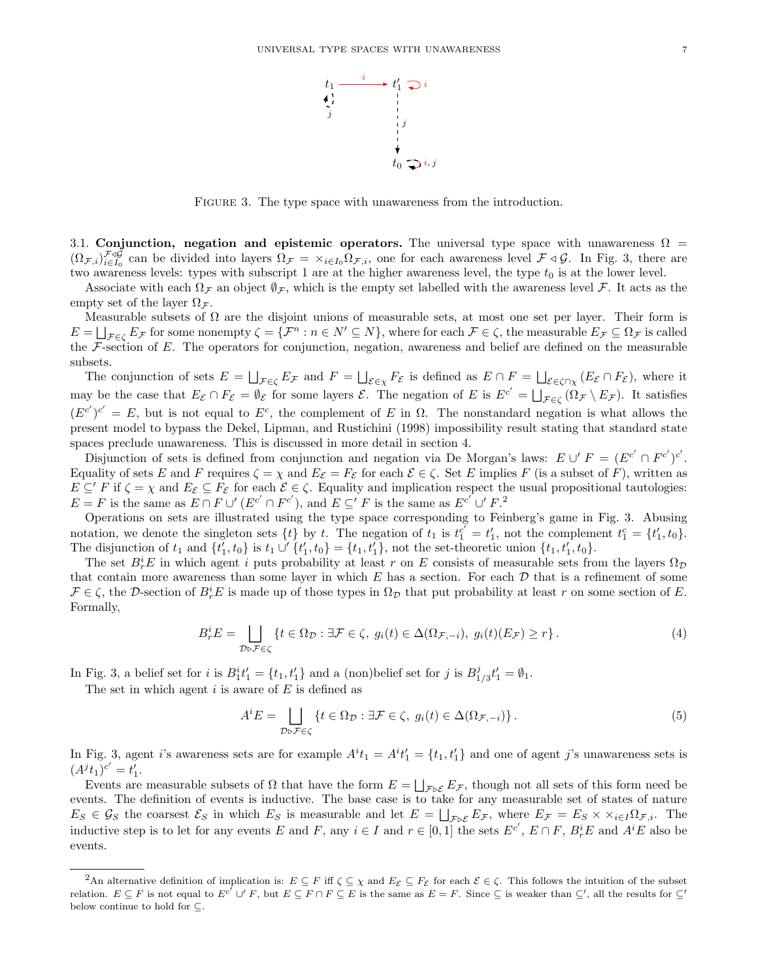

FIGURE 3. The type space with unawareness from the introduction.

3.1. Conjunction, negation and epistemic operators. The universal type space with unawareness  $\Omega$  =  $(\Omega_{\mathcal{F},i})_{i\in I_0}^{\mathcal{F}\triangleleft\mathcal{G}}$  can be divided into layers  $\Omega_{\mathcal{F}} = \times_{i\in I_0} \Omega_{\mathcal{F},i}$ , one for each awareness level  $\mathcal{F}\triangleleft\mathcal{G}$ . In Fig. 3, there are two awareness levels: types with subscript 1 are at the higher awareness level, the type  $t_0$  is at the lower level.

Associate with each  $\Omega_F$  an object  $\emptyset_F$ , which is the empty set labelled with the awareness level F. It acts as the empty set of the layer  $\Omega_{\mathcal{F}}$ .

Measurable subsets of  $\Omega$  are the disjoint unions of measurable sets, at most one set per layer. Their form is  $E = \bigsqcup_{\mathcal{F} \in \zeta} E_{\mathcal{F}}$  for some nonempty  $\zeta = {\{\mathcal{F}^n : n \in \mathbb{N}' \subseteq \mathbb{N}\}}$ , where for each  $\mathcal{F} \in \zeta$ , the measurable  $E_{\mathcal{F}} \subseteq \Omega_{\mathcal{F}}$  is called the  $\mathcal F$ -section of E. The operators for conjunction, negation, awareness and belief are defined on the measurable subsets.

The conjunction of sets  $E = \bigsqcup_{\mathcal{F} \in \zeta} E_{\mathcal{F}}$  and  $F = \bigsqcup_{\mathcal{E} \in \chi} F_{\mathcal{E}}$  is defined as  $E \cap F = \bigsqcup_{\mathcal{E} \in \zeta \cap \chi} (E_{\mathcal{E}} \cap F_{\mathcal{E}})$ , where it may be the case that  $E_{\mathcal{E}} \cap F_{\mathcal{E}} = \emptyset_{\mathcal{E}}$  for some layers  $\mathcal{E}$ . The negation of E is  $E^{c'} = \bigsqcup_{\mathcal{F} \in \zeta} (\Omega_{\mathcal{F}} \setminus E_{\mathcal{F}})$ . It satisfies  $(E^{c'})^{c'} = E$ , but is not equal to  $E^c$ , the complement of E in  $\Omega$ . The nonstandard negation is what allows the present model to bypass the Dekel, Lipman, and Rustichini (1998) impossibility result stating that standard state spaces preclude unawareness. This is discussed in more detail in section 4.

Disjunction of sets is defined from conjunction and negation via De Morgan's laws:  $E \cup F = (E^{c'} \cap F^{c'})^{c'}$ . Equality of sets E and F requires  $\zeta = \chi$  and  $E_{\mathcal{E}} = F_{\mathcal{E}}$  for each  $\mathcal{E} \in \zeta$ . Set E implies F (is a subset of F), written as  $E \subseteq F$  if  $\zeta = \chi$  and  $E_{\mathcal{E}} \subseteq F_{\mathcal{E}}$  for each  $\mathcal{E} \in \zeta$ . Equality and implication respect the usual propositional tautologies:  $E = F$  is the same as  $E \cap F \cup' (E^{c'} \cap F^{c'})$ , and  $E \subseteq' F$  is the same as  $E^{c'} \cup' F$ .

Operations on sets are illustrated using the type space corresponding to Feinberg's game in Fig. 3. Abusing notation, we denote the singleton sets  $\{t\}$  by t. The negation of  $t_1$  is  $t_1^{c'} = t_1'$ , not the complement  $t_1^c = \{t_1', t_0\}$ . The disjunction of  $t_1$  and  $\{t'_1, t_0\}$  is  $t_1 \cup \{t'_1, t_0\} = \{t_1, t'_1\}$ , not the set-theoretic union  $\{t_1, t'_1, t_0\}$ .

The set  $B_r^i E$  in which agent i puts probability at least r on E consists of measurable sets from the layers  $\Omega_{\mathcal{D}}$ that contain more awareness than some layer in which  $E$  has a section. For each  $D$  that is a refinement of some  $\mathcal{F} \in \zeta$ , the D-section of  $B_r^i E$  is made up of those types in  $\Omega_{\mathcal{D}}$  that put probability at least r on some section of E. Formally,

$$
B_r^i E = \bigsqcup_{\mathcal{D} \ni \mathcal{F} \in \zeta} \{ t \in \Omega_{\mathcal{D}} : \exists \mathcal{F} \in \zeta, \ g_i(t) \in \Delta(\Omega_{\mathcal{F}, -i}), \ g_i(t) (E_{\mathcal{F}}) \ge r \} \,.
$$

In Fig. 3, a belief set for i is  $B_1^i t_1' = \{t_1, t_1'\}$  and a (non)belief set for j is  $B_1^j$  $t_{1/3}'t_{1}' = \emptyset_1.$ 

The set in which agent  $i$  is aware of  $E$  is defined as

$$
A^{i}E = \bigsqcup_{\mathcal{D}\rhd\mathcal{F}\in\zeta} \{t \in \Omega_{\mathcal{D}} : \exists \mathcal{F} \in \zeta, \ g_{i}(t) \in \Delta(\Omega_{\mathcal{F},-i})\}.
$$
\n
$$
(5)
$$

In Fig. 3, agent i's awareness sets are for example  $A^it_1 = A^it'_1 = \{t_1, t'_1\}$  and one of agent j's unawareness sets is  $(A^{j}t_{1})^{c'} = t'_{1}.$ 

Events are measurable subsets of  $\Omega$  that have the form  $E = \bigsqcup_{\mathcal{F} \triangleright \mathcal{E}} E_{\mathcal{F}}$ , though not all sets of this form need be events. The definition of events is inductive. The base case is to take for any measurable set of states of nature  $E_S \in \mathcal{G}_S$  the coarsest  $\mathcal{E}_S$  in which  $E_S$  is measurable and let  $E = \bigsqcup_{\mathcal{F} \triangleright \mathcal{E}} E_{\mathcal{F}}$ , where  $E_{\mathcal{F}} = E_S \times \times_{i \in I} \Omega_{\mathcal{F},i}$ . The inductive step is to let for any events E and F, any  $i \in I$  and  $r \in [0,1]$  the sets  $E^{c'}$ ,  $E \cap F$ ,  $B_r^i E$  and  $A^i E$  also be events.

<sup>&</sup>lt;sup>2</sup>An alternative definition of implication is:  $E \subseteq F$  iff  $\zeta \subseteq \chi$  and  $E_{\mathcal{E}} \subseteq F_{\mathcal{E}}$  for each  $\mathcal{E} \in \zeta$ . This follows the intuition of the subset relation.  $E \subseteq F$  is not equal to  $E^{c'} \cup F$ , but  $E \subseteq F \cap F \subseteq E$  is the same as  $E = F$ . Since  $\subseteq$  is weaker than  $\subseteq'$ , all the results for  $\subseteq'$ below continue to hold for  $\subseteq$ .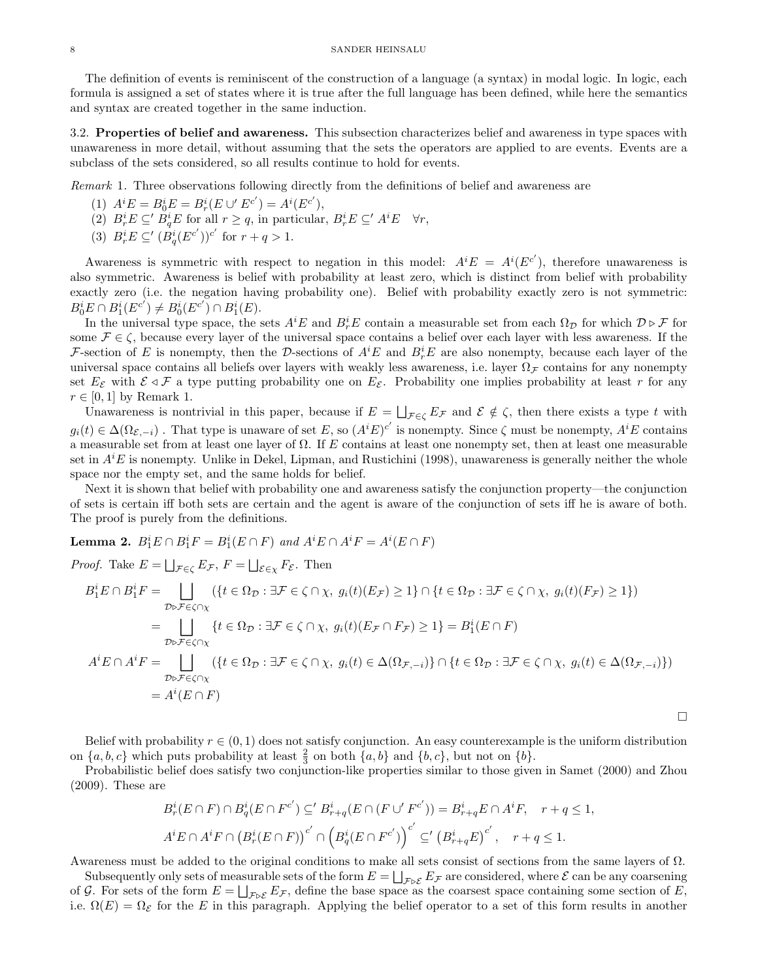The definition of events is reminiscent of the construction of a language (a syntax) in modal logic. In logic, each formula is assigned a set of states where it is true after the full language has been defined, while here the semantics and syntax are created together in the same induction.

3.2. Properties of belief and awareness. This subsection characterizes belief and awareness in type spaces with unawareness in more detail, without assuming that the sets the operators are applied to are events. Events are a subclass of the sets considered, so all results continue to hold for events.

Remark 1. Three observations following directly from the definitions of belief and awareness are

- (1)  $A^{i}E = B_{0}^{i}E = B_{r}^{i}(E \cup E^{c'}) = A^{i}(E^{c'}),$
- (2)  $B_r^i E \subseteq B_q^i E$  for all  $r \ge q$ , in particular,  $B_r^i E \subseteq A^i E \quad \forall r$ ,
- (3)  $B_r^i E \subseteq' (B_q^i(E^{c'}))^{c'}$  for  $r + q > 1$ .

Awareness is symmetric with respect to negation in this model:  $A^{i}E = A^{i}(E^{c'})$ , therefore unawareness is also symmetric. Awareness is belief with probability at least zero, which is distinct from belief with probability exactly zero (i.e. the negation having probability one). Belief with probability exactly zero is not symmetric:  $B_0^i E \cap B_1^i(E^{c'}) \neq B_0^i(E^{c'}) \cap B_1^i(E).$ 

In the universal type space, the sets  $A^iE$  and  $B^i_rE$  contain a measurable set from each  $\Omega_{\mathcal{D}}$  for which  $\mathcal{D} \triangleright \mathcal{F}$  for some  $\mathcal{F} \in \zeta$ , because every layer of the universal space contains a belief over each layer with less awareness. If the F-section of E is nonempty, then the D-sections of  $A^iE$  and  $B_r^iE$  are also nonempty, because each layer of the universal space contains all beliefs over layers with weakly less awareness, i.e. layer  $\Omega_{\mathcal{F}}$  contains for any nonempty set  $E_{\mathcal{E}}$  with  $\mathcal{E} \triangleleft \mathcal{F}$  a type putting probability one on  $E_{\mathcal{E}}$ . Probability one implies probability at least r for any  $r \in [0,1]$  by Remark 1.

Unawareness is nontrivial in this paper, because if  $E = \bigsqcup_{\mathcal{F} \in \zeta} E_{\mathcal{F}}$  and  $\mathcal{E} \notin \zeta$ , then there exists a type t with  $g_i(t) \in \Delta(\Omega_{\mathcal{E},-i})$ . That type is unaware of set E, so  $(A^i E)^{c'}$  is nonempty. Since  $\zeta$  must be nonempty,  $A^i E$  contains a measurable set from at least one layer of Ω. If E contains at least one nonempty set, then at least one measurable set in  $A<sup>i</sup>E$  is nonempty. Unlike in Dekel, Lipman, and Rustichini (1998), unawareness is generally neither the whole space nor the empty set, and the same holds for belief.

Next it is shown that belief with probability one and awareness satisfy the conjunction property—the conjunction of sets is certain iff both sets are certain and the agent is aware of the conjunction of sets iff he is aware of both. The proof is purely from the definitions.

**Lemma 2.**  $B_1^iE \cap B_1^iF = B_1^i(E \cap F)$  and  $A^iE \cap A^iF = A^i(E \cap F)$ 

*Proof.* Take  $E = \bigsqcup_{\mathcal{F} \in \zeta} E_{\mathcal{F}}$ ,  $F = \bigsqcup_{\mathcal{E} \in \chi} F_{\mathcal{E}}$ . Then

$$
B_1^i E \cap B_1^i F = \bigsqcup_{\mathcal{D} \in \mathcal{F} \in \zeta \cap \chi} (\{t \in \Omega_{\mathcal{D}} : \exists \mathcal{F} \in \zeta \cap \chi, \ g_i(t)(E_{\mathcal{F}}) \ge 1\} \cap \{t \in \Omega_{\mathcal{D}} : \exists \mathcal{F} \in \zeta \cap \chi, \ g_i(t)(F_{\mathcal{F}}) \ge 1\})
$$
\n
$$
= \bigsqcup_{\mathcal{D} \in \mathcal{F} \in \zeta \cap \chi} \{t \in \Omega_{\mathcal{D}} : \exists \mathcal{F} \in \zeta \cap \chi, \ g_i(t)(E_{\mathcal{F}} \cap F_{\mathcal{F}}) \ge 1\} = B_1^i (E \cap F)
$$
\n
$$
A^i E \cap A^i F = \bigsqcup_{\mathcal{D} \in \mathcal{F} \in \zeta \cap \chi} (\{t \in \Omega_{\mathcal{D}} : \exists \mathcal{F} \in \zeta \cap \chi, \ g_i(t) \in \Delta(\Omega_{\mathcal{F}, -i})\} \cap \{t \in \Omega_{\mathcal{D}} : \exists \mathcal{F} \in \zeta \cap \chi, \ g_i(t) \in \Delta(\Omega_{\mathcal{F}, -i})\})
$$
\n
$$
= A^i (E \cap F)
$$

Belief with probability  $r \in (0, 1)$  does not satisfy conjunction. An easy counterexample is the uniform distribution on  $\{a, b, c\}$  which puts probability at least  $\frac{2}{3}$  on both  $\{a, b\}$  and  $\{b, c\}$ , but not on  $\{b\}$ .

 $\Box$ 

Probabilistic belief does satisfy two conjunction-like properties similar to those given in Samet (2000) and Zhou (2009). These are

$$
B_r^i(E \cap F) \cap B_q^i(E \cap F^{c'}) \subseteq B_{r+q}^i(E \cap (F \cup F^{c'})) = B_{r+q}^i E \cap A^i F, \quad r+q \le 1,
$$
  

$$
A^i E \cap A^i F \cap (B_r^i(E \cap F))^c \cap (B_q^i(E \cap F^{c'}))^c \subseteq (B_{r+q}^i E)^{c'}, \quad r+q \le 1.
$$

Awareness must be added to the original conditions to make all sets consist of sections from the same layers of  $\Omega$ .

Subsequently only sets of measurable sets of the form  $E = \bigsqcup_{\mathcal{F} \triangleright \mathcal{E}} E_{\mathcal{F}}$  are considered, where  $\mathcal{E}$  can be any coarsening of G. For sets of the form  $E = \bigsqcup_{\mathcal{F} \triangleright \mathcal{E}} E_{\mathcal{F}}$ , define the base space as the coarsest space containing some section of E, i.e.  $\Omega(E) = \Omega_{\mathcal{E}}$  for the E in this paragraph. Applying the belief operator to a set of this form results in another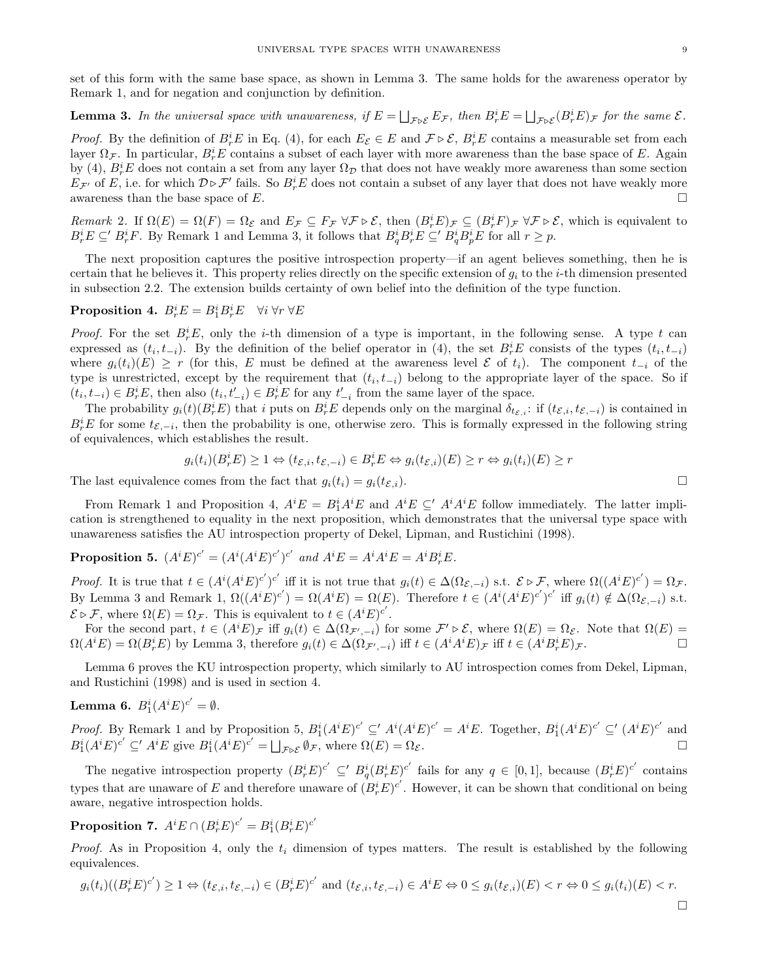set of this form with the same base space, as shown in Lemma 3. The same holds for the awareness operator by Remark 1, and for negation and conjunction by definition.

**Lemma 3.** In the universal space with unawareness, if  $E = \bigsqcup_{\mathcal{F} \triangleright \mathcal{E}} E_{\mathcal{F}}$ , then  $B_r^i E = \bigsqcup_{\mathcal{F} \triangleright \mathcal{E}} (B_r^i E)_{\mathcal{F}}$  for the same  $\mathcal{E}$ .

*Proof.* By the definition of  $B_r^i E$  in Eq. (4), for each  $E_{\mathcal{E}} \in E$  and  $\mathcal{F} \triangleright \mathcal{E}$ ,  $B_r^i E$  contains a measurable set from each layer  $\Omega_{\mathcal{F}}$ . In particular,  $B_r^iE$  contains a subset of each layer with more awareness than the base space of E. Again by (4),  $B_r^i E$  does not contain a set from any layer  $\Omega_{\mathcal{D}}$  that does not have weakly more awareness than some section  $E_{\mathcal{F}'}$  of E, i.e. for which  $\mathcal{D} \triangleright \mathcal{F}'$  fails. So  $B_r^i E$  does not contain a subset of any layer that does not have weakly more awareness than the base space of E.

Remark 2. If  $\Omega(E) = \Omega(F) = \Omega_{\mathcal{E}}$  and  $E_{\mathcal{F}} \subseteq F_{\mathcal{F}} \forall \mathcal{F} \triangleright \mathcal{E}$ , then  $(B_r^i E)_{\mathcal{F}} \subseteq (B_r^i F)_{\mathcal{F}} \forall \mathcal{F} \triangleright \mathcal{E}$ , which is equivalent to  $B_r^i E \subseteq B_r^i F$ . By Remark 1 and Lemma 3, it follows that  $B_q^i B_r^i E \subseteq B_q^i B_p^i E$  for all  $r \geq p$ .

The next proposition captures the positive introspection property—if an agent believes something, then he is certain that he believes it. This property relies directly on the specific extension of  $q_i$  to the *i*-th dimension presented in subsection 2.2. The extension builds certainty of own belief into the definition of the type function.

Proposition 4.  $B_r^i E = B_1^i B_r^i E \quad \forall i \,\forall r \,\forall E$ 

*Proof.* For the set  $B_r^iE$ , only the *i*-th dimension of a type is important, in the following sense. A type t can expressed as  $(t_i, t_{-i})$ . By the definition of the belief operator in (4), the set  $B_r^i E$  consists of the types  $(t_i, t_{-i})$ where  $g_i(t_i)(E) \geq r$  (for this, E must be defined at the awareness level E of t<sub>i</sub>). The component  $t_{-i}$  of the type is unrestricted, except by the requirement that  $(t_i, t_{-i})$  belong to the appropriate layer of the space. So if  $(t_i, t_{-i}) \in B_r^i E$ , then also  $(t_i, t'_{-i}) \in B_r^i E$  for any  $t'_{-i}$  from the same layer of the space.

The probability  $g_i(t)(B_r^i E)$  that i puts on  $B_r^i E$  depends only on the marginal  $\delta_{t\varepsilon,i}$ : if  $(t\varepsilon_i, t\varepsilon_{\varepsilon,-i})$  is contained in  $B_r^iE$  for some  $t_{\mathcal{E},-i}$ , then the probability is one, otherwise zero. This is formally expressed in the following string of equivalences, which establishes the result.

$$
g_i(t_i)(B_r^i E) \ge 1 \Leftrightarrow (t_{\mathcal{E},i}, t_{\mathcal{E},-i}) \in B_r^i E \Leftrightarrow g_i(t_{\mathcal{E},i})(E) \ge r \Leftrightarrow g_i(t_i)(E) \ge r
$$

The last equivalence comes from the fact that  $g_i(t_i) = g_i(t_{\mathcal{E},i}).$ 

From Remark 1 and Proposition 4,  $A^i E = B_1^i A^i E$  and  $A^i E \subseteq A^i A^i E$  follow immediately. The latter implication is strengthened to equality in the next proposition, which demonstrates that the universal type space with unawareness satisfies the AU introspection property of Dekel, Lipman, and Rustichini (1998).

**Proposition 5.** 
$$
(A^i E)^{c'} = (A^i (A^i E)^{c'})^{c'}
$$
 and  $A^i E = A^i A^i E = A^i B^i F E$ .

*Proof.* It is true that  $t \in (A^i(A^i E)^{c'})^{c'}$  iff it is not true that  $g_i(t) \in \Delta(\Omega_{\mathcal{E},-i})$  s.t.  $\mathcal{E} \triangleright \mathcal{F}$ , where  $\Omega((A^i E)^{c'}) = \Omega_{\mathcal{F}}$ . By Lemma 3 and Remark 1,  $\Omega((A^{i}E)^{c'}) = \Omega(A^{i}E) = \Omega(E)$ . Therefore  $t \in (A^{i}(A^{i}E)^{c'})^{c'}$  iff  $g_i(t) \notin \Delta(\Omega_{\mathcal{E},-i})$  s.t.  $\mathcal{E} \triangleright \mathcal{F}$ , where  $\Omega(E) = \Omega_{\mathcal{F}}$ . This is equivalent to  $t \in (A^i E)^{c'}$ .

For the second part,  $t \in (A^i E)_{\mathcal{F}}$  iff  $g_i(t) \in \Delta(\Omega_{\mathcal{F}',-i})$  for some  $\mathcal{F}' \triangleright \mathcal{E}$ , where  $\Omega(E) = \Omega_{\mathcal{E}}$ . Note that  $\Omega(E) =$  $\Omega(A^i E) = \Omega(B^i_r E)$  by Lemma 3, therefore  $g_i(t) \in \Delta(\Omega_{\mathcal{F}',-i})$  iff  $t \in (A^i A^i E)_{\mathcal{F}}$  iff  $t \in (A^i B^i_r E)_{\mathcal{F}}$ .

Lemma 6 proves the KU introspection property, which similarly to AU introspection comes from Dekel, Lipman, and Rustichini (1998) and is used in section 4.

**Lemma 6.**  $B_1^i(A^iE)^{c'} = \emptyset$ .

*Proof.* By Remark 1 and by Proposition 5,  $B_1^i(A^iE)^{c'} \subseteq A^i(A^iE)^{c'} = A^iE$ . Together,  $B_1^i(A^iE)^{c'} \subseteq (A^iE)^{c'}$  and  $B_1^i(A^i E)^{c'} \subseteq A^i E$  give  $B_1^i(A^i E)^{c'} = \bigsqcup_{\mathcal{F} \triangleright \mathcal{E}} \emptyset_{\mathcal{F}}$ , where  $\Omega(E) = \Omega_{\mathcal{E}}$ .

The negative introspection property  $(B_r^i E)^{c'} \subseteq B_q^i (B_r^i E)^{c'}$  fails for any  $q \in [0,1]$ , because  $(B_r^i E)^{c'}$  contains types that are unaware of E and therefore unaware of  $(B_r^i E)^{c'}$ . However, it can be shown that conditional on being aware, negative introspection holds.

 $\textbf{Proposition 7.}\ \ A^iE \cap (B^i_r E)^{c'} = B^i_1(B^i_r E)^{c'}$ 

*Proof.* As in Proposition 4, only the  $t_i$  dimension of types matters. The result is established by the following equivalences.

$$
g_i(t_i)((B_r^i E)^{c'}) \ge 1 \Leftrightarrow (t_{\mathcal{E},i}, t_{\mathcal{E},-i}) \in (B_r^i E)^{c'} \text{ and } (t_{\mathcal{E},i}, t_{\mathcal{E},-i}) \in A^i E \Leftrightarrow 0 \le g_i(t_{\mathcal{E},i})(E) < r \Leftrightarrow 0 \le g_i(t_i)(E) < r.
$$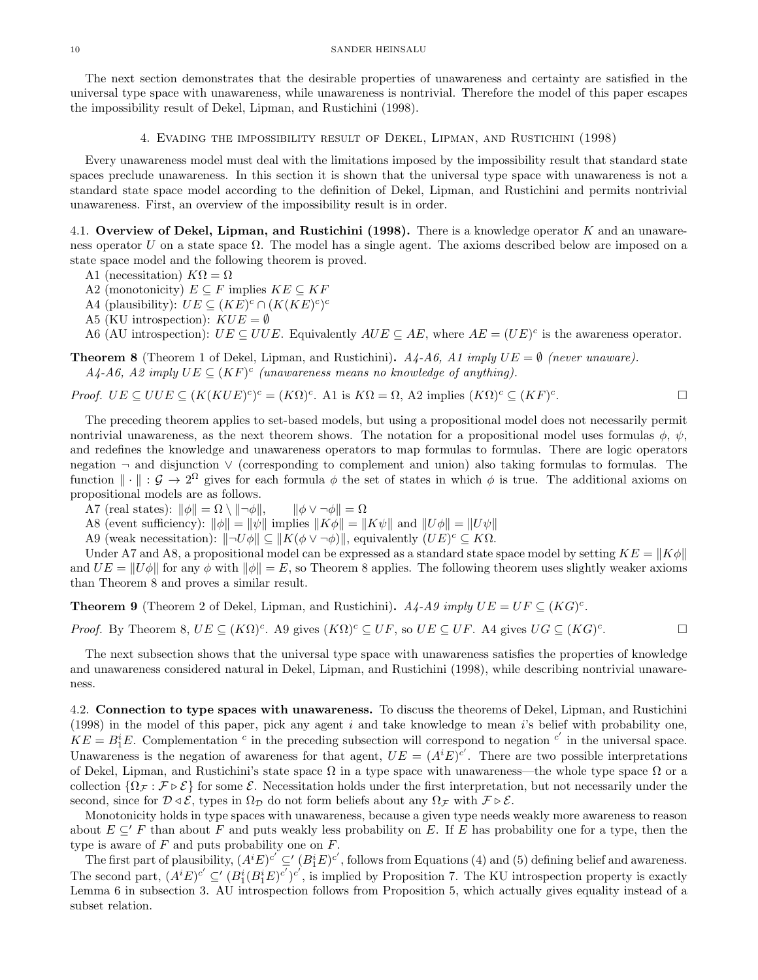The next section demonstrates that the desirable properties of unawareness and certainty are satisfied in the universal type space with unawareness, while unawareness is nontrivial. Therefore the model of this paper escapes the impossibility result of Dekel, Lipman, and Rustichini (1998).

4. Evading the impossibility result of Dekel, Lipman, and Rustichini (1998)

Every unawareness model must deal with the limitations imposed by the impossibility result that standard state spaces preclude unawareness. In this section it is shown that the universal type space with unawareness is not a standard state space model according to the definition of Dekel, Lipman, and Rustichini and permits nontrivial unawareness. First, an overview of the impossibility result is in order.

4.1. Overview of Dekel, Lipman, and Rustichini (1998). There is a knowledge operator  $K$  and an unawareness operator U on a state space  $\Omega$ . The model has a single agent. The axioms described below are imposed on a state space model and the following theorem is proved.

- A1 (necessitation)  $K\Omega = \Omega$
- A2 (monotonicity)  $E \subseteq F$  implies  $KE \subseteq KF$
- A4 (plausibility):  $UE \subseteq (KE)^c \cap (K(KE)^c)^c$
- A5 (KU introspection):  $KUE = \emptyset$

A6 (AU introspection):  $UE \subseteq UUE$ . Equivalently  $AUE \subseteq AE$ , where  $AE = (UE)^c$  is the awareness operator.

**Theorem 8** (Theorem 1 of Dekel, Lipman, and Rustichini).  $A_4$ - $A_6$ ,  $A_1$  imply  $UE = \emptyset$  (never unaware).  $A_4$ -A6, A2 imply  $UE \subseteq (KF)^c$  (unawareness means no knowledge of anything).

*Proof.* 
$$
UE \subseteq UUE \subseteq (K(KUE)^c)^c = (K\Omega)^c
$$
. A1 is  $K\Omega = \Omega$ , A2 implies  $(K\Omega)^c \subseteq (KF)^c$ .

The preceding theorem applies to set-based models, but using a propositional model does not necessarily permit nontrivial unawareness, as the next theorem shows. The notation for a propositional model uses formulas  $\phi$ ,  $\psi$ , and redefines the knowledge and unawareness operators to map formulas to formulas. There are logic operators negation ¬ and disjunction ∨ (corresponding to complement and union) also taking formulas to formulas. The function  $\|\cdot\|: \mathcal{G} \to 2^{\Omega}$  gives for each formula  $\phi$  the set of states in which  $\phi$  is true. The additional axioms on propositional models are as follows.

- A7 (real states):  $\|\phi\| = \Omega \setminus \|\neg \phi\|$ ,  $\|\phi \vee \neg \phi\| = \Omega$
- A8 (event sufficiency):  $\|\phi\| = \|\psi\|$  implies  $\|K\phi\| = \|K\psi\|$  and  $\|U\phi\| = \|U\psi\|$
- A9 (weak necessitation):  $\|\neg U\phi\| \subseteq \|K(\phi \vee \neg \phi)\|$ , equivalently  $(UE)^c \subseteq K\Omega$ .

Under A7 and A8, a propositional model can be expressed as a standard state space model by setting  $KE = ||K\phi||$ and  $UE = ||U\phi||$  for any  $\phi$  with  $||\phi|| = E$ , so Theorem 8 applies. The following theorem uses slightly weaker axioms than Theorem 8 and proves a similar result.

**Theorem 9** (Theorem 2 of Dekel, Lipman, and Rustichini).  $A_4$ - $A_9$  imply  $UE = UF \subseteq (KG)^c$ .

*Proof.* By Theorem 8,  $UE \subseteq (K\Omega)^c$ . A9 gives  $(K\Omega)^c \subseteq UF$ , so  $UE \subseteq UF$ . A4 gives  $UG \subseteq (KG)^c$ . — П

The next subsection shows that the universal type space with unawareness satisfies the properties of knowledge and unawareness considered natural in Dekel, Lipman, and Rustichini (1998), while describing nontrivial unawareness.

4.2. Connection to type spaces with unawareness. To discuss the theorems of Dekel, Lipman, and Rustichini (1998) in the model of this paper, pick any agent i and take knowledge to mean i's belief with probability one,  $KE = B_1^iE$ . Complementation <sup>c</sup> in the preceding subsection will correspond to negation <sup>c'</sup> in the universal space. Unawareness is the negation of awareness for that agent,  $UE = (A^{i}E)^{c'}$ . There are two possible interpretations of Dekel, Lipman, and Rustichini's state space  $\Omega$  in a type space with unawareness—the whole type space  $\Omega$  or a collection  $\{\Omega_{\mathcal{F}} : \mathcal{F} \triangleright \mathcal{E}\}\)$  for some  $\mathcal{E}$ . Necessitation holds under the first interpretation, but not necessarily under the second, since for  $\mathcal{D} \triangleleft \mathcal{E}$ , types in  $\Omega_{\mathcal{D}}$  do not form beliefs about any  $\Omega_{\mathcal{F}}$  with  $\mathcal{F} \triangleright \mathcal{E}$ .

Monotonicity holds in type spaces with unawareness, because a given type needs weakly more awareness to reason about  $E \subseteq F$  than about F and puts weakly less probability on E. If E has probability one for a type, then the type is aware of  $F$  and puts probability one on  $F$ .

The first part of plausibility,  $(A^i E)^{c'} \subseteq' (B_1^i E)^{c'}$ , follows from Equations (4) and (5) defining belief and awareness. The second part,  $(A^i E)^{c'} \subseteq (B_1^i (B_1^i E)^{c'})^{c'}$ , is implied by Proposition 7. The KU introspection property is exactly Lemma 6 in subsection 3. AU introspection follows from Proposition 5, which actually gives equality instead of a subset relation.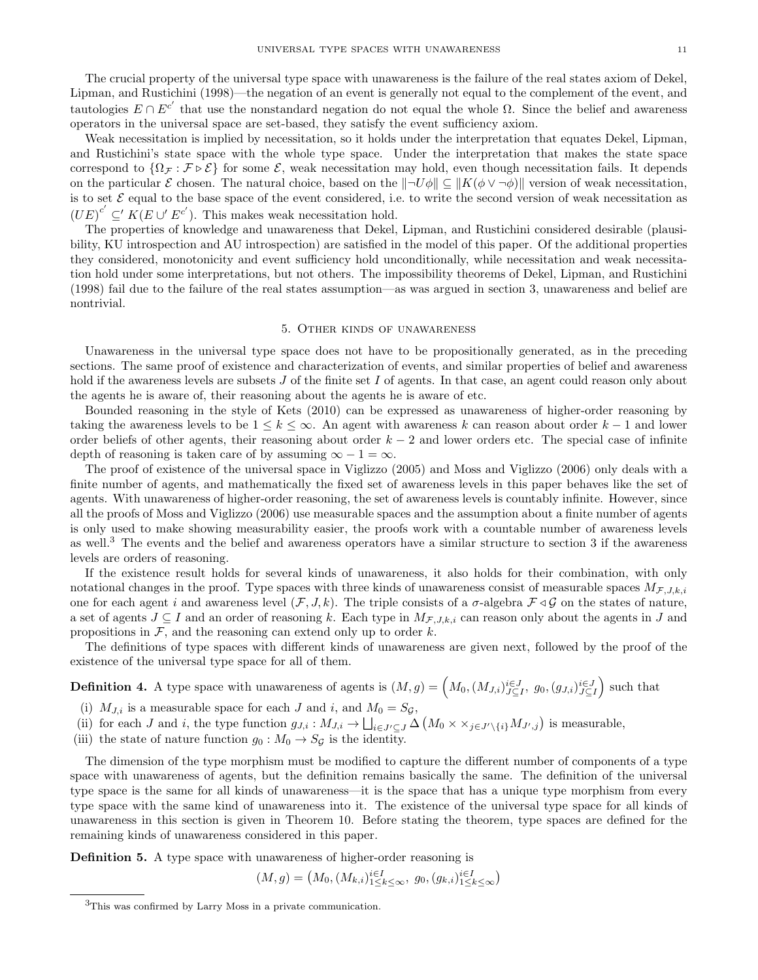The crucial property of the universal type space with unawareness is the failure of the real states axiom of Dekel, Lipman, and Rustichini (1998)—the negation of an event is generally not equal to the complement of the event, and tautologies  $E \cap E^{c'}$  that use the nonstandard negation do not equal the whole Ω. Since the belief and awareness operators in the universal space are set-based, they satisfy the event sufficiency axiom.

Weak necessitation is implied by necessitation, so it holds under the interpretation that equates Dekel, Lipman, and Rustichini's state space with the whole type space. Under the interpretation that makes the state space correspond to  $\{\Omega_{\mathcal{F}} : \mathcal{F} \triangleright \mathcal{E}\}\)$  for some  $\mathcal{E}$ , weak necessitation may hold, even though necessitation fails. It depends on the particular E chosen. The natural choice, based on the  $\|\neg U\phi\| \subseteq \|K(\phi \vee \neg \phi)\|$  version of weak necessitation, is to set  $\mathcal E$  equal to the base space of the event considered, i.e. to write the second version of weak necessitation as  $(UE)^{c'} \subseteq K(E \cup E^{c'})$ . This makes weak necessitation hold.

The properties of knowledge and unawareness that Dekel, Lipman, and Rustichini considered desirable (plausibility, KU introspection and AU introspection) are satisfied in the model of this paper. Of the additional properties they considered, monotonicity and event sufficiency hold unconditionally, while necessitation and weak necessitation hold under some interpretations, but not others. The impossibility theorems of Dekel, Lipman, and Rustichini (1998) fail due to the failure of the real states assumption—as was argued in section 3, unawareness and belief are nontrivial.

## 5. Other kinds of unawareness

Unawareness in the universal type space does not have to be propositionally generated, as in the preceding sections. The same proof of existence and characterization of events, and similar properties of belief and awareness hold if the awareness levels are subsets J of the finite set I of agents. In that case, an agent could reason only about the agents he is aware of, their reasoning about the agents he is aware of etc.

Bounded reasoning in the style of Kets (2010) can be expressed as unawareness of higher-order reasoning by taking the awareness levels to be  $1 \leq k \leq \infty$ . An agent with awareness k can reason about order  $k-1$  and lower order beliefs of other agents, their reasoning about order  $k-2$  and lower orders etc. The special case of infinite depth of reasoning is taken care of by assuming  $\infty - 1 = \infty$ .

The proof of existence of the universal space in Viglizzo (2005) and Moss and Viglizzo (2006) only deals with a finite number of agents, and mathematically the fixed set of awareness levels in this paper behaves like the set of agents. With unawareness of higher-order reasoning, the set of awareness levels is countably infinite. However, since all the proofs of Moss and Viglizzo (2006) use measurable spaces and the assumption about a finite number of agents is only used to make showing measurability easier, the proofs work with a countable number of awareness levels as well.<sup>3</sup> The events and the belief and awareness operators have a similar structure to section 3 if the awareness levels are orders of reasoning.

If the existence result holds for several kinds of unawareness, it also holds for their combination, with only notational changes in the proof. Type spaces with three kinds of unawareness consist of measurable spaces  $M_{\mathcal{F},J,k,i}$ one for each agent i and awareness level  $(\mathcal{F}, J, k)$ . The triple consists of a  $\sigma$ -algebra  $\mathcal{F} \triangleleft \mathcal{G}$  on the states of nature, a set of agents  $J \subseteq I$  and an order of reasoning k. Each type in  $M_{\mathcal{F},J,k,i}$  can reason only about the agents in J and propositions in  $F$ , and the reasoning can extend only up to order  $k$ .

The definitions of type spaces with different kinds of unawareness are given next, followed by the proof of the existence of the universal type space for all of them.

**Definition 4.** A type space with unawareness of agents is  $(M,g) = (M_0, (M_{J,i})_{J \subseteq I}^{i \in J}, g_0, (g_{J,i})_{J \subseteq I}^{i \in J})$  such that

- (i)  $M_{J,i}$  is a measurable space for each J and i, and  $M_0 = S_{\mathcal{G}},$
- (ii) for each J and i, the type function  $g_{J,i}: M_{J,i} \to \bigsqcup_{i \in J' \subseteq J} \Delta \left( M_0 \times \times_{j \in J' \setminus \{i\}} M_{J',j} \right)$  is measurable,
- (iii) the state of nature function  $g_0 : M_0 \to S_{\mathcal{G}}$  is the identity.

The dimension of the type morphism must be modified to capture the different number of components of a type space with unawareness of agents, but the definition remains basically the same. The definition of the universal type space is the same for all kinds of unawareness—it is the space that has a unique type morphism from every type space with the same kind of unawareness into it. The existence of the universal type space for all kinds of unawareness in this section is given in Theorem 10. Before stating the theorem, type spaces are defined for the remaining kinds of unawareness considered in this paper.

Definition 5. A type space with unawareness of higher-order reasoning is

$$
(M,g) = (M_0, (M_{k,i})_{1 \leq k \leq \infty}^{i \in I}, g_0, (g_{k,i})_{1 \leq k \leq \infty}^{i \in I})
$$

<sup>3</sup>This was confirmed by Larry Moss in a private communication.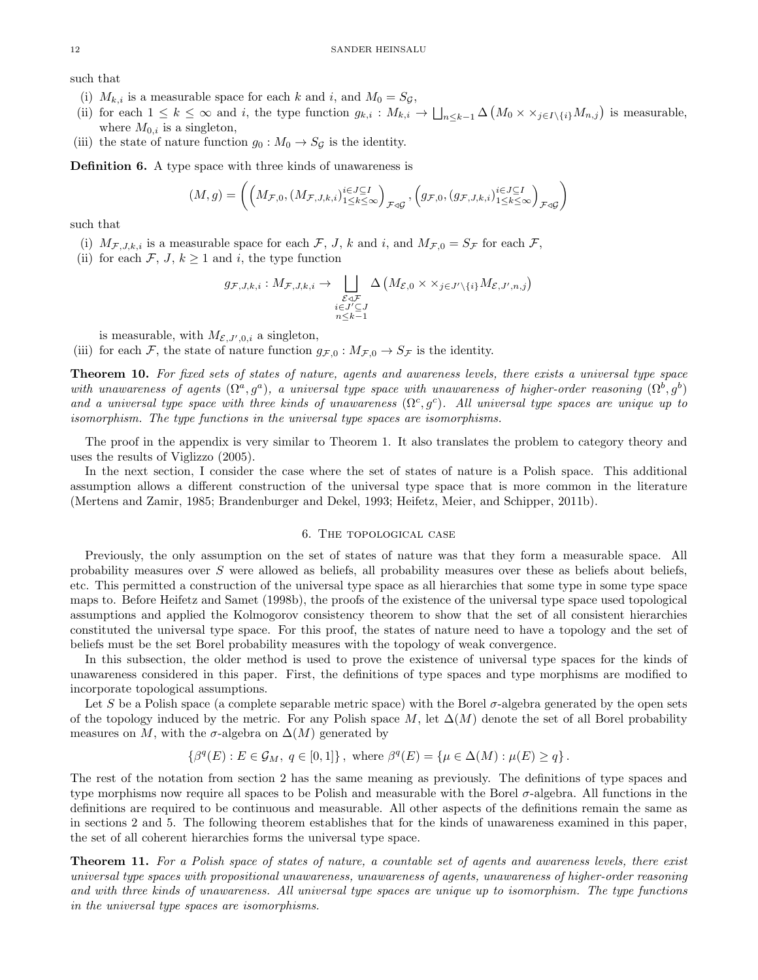such that

- (i)  $M_{k,i}$  is a measurable space for each k and i, and  $M_0 = S_{\mathcal{G}}$ ,
- (ii) for each  $1 \leq k \leq \infty$  and i, the type function  $g_{k,i}: M_{k,i} \to \bigsqcup_{n \leq k-1} \Delta \left( M_0 \times \times_{j \in I \setminus \{i\}} M_{n,j} \right)$  is measurable, where  $M_{0,i}$  is a singleton,
- (iii) the state of nature function  $g_0 : M_0 \to S_{\mathcal{G}}$  is the identity.

Definition 6. A type space with three kinds of unawareness is

$$
(M,g) = \left( \left( M_{\mathcal{F},0}, \left( M_{\mathcal{F},J,k,i} \right)_{1 \leq k \leq \infty}^{i \in J \subseteq I} \right)_{\mathcal{F} \triangleleft \mathcal{G}}, \left( g_{\mathcal{F},0}, \left( g_{\mathcal{F},J,k,i} \right)_{1 \leq k \leq \infty}^{i \in J \subseteq I} \right)_{\mathcal{F} \triangleleft \mathcal{G}} \right)
$$

such that

- (i)  $M_{\mathcal{F},J,k,i}$  is a measurable space for each  $\mathcal{F}, J, k$  and i, and  $M_{\mathcal{F},0} = S_{\mathcal{F}}$  for each  $\mathcal{F},$
- (ii) for each  $\mathcal{F}, J, k \geq 1$  and i, the type function

$$
g_{\mathcal{F},J,k,i}: M_{\mathcal{F},J,k,i} \to \bigsqcup_{\substack{\mathcal{E} \triangleleft \mathcal{F} \\ i \in J' \subseteq J \\ n \leq k-1}} \Delta \left( M_{\mathcal{E},0} \times \times_{j \in J' \setminus \{i\}} M_{\mathcal{E},J',n,j} \right)
$$

is measurable, with  $M_{\mathcal{E},J',0,i}$  a singleton,

(iii) for each  $\mathcal{F}$ , the state of nature function  $g_{\mathcal{F},0} : M_{\mathcal{F},0} \to S_{\mathcal{F}}$  is the identity.

Theorem 10. For fixed sets of states of nature, agents and awareness levels, there exists a universal type space with unawareness of agents  $(\Omega^a, g^a)$ , a universal type space with unawareness of higher-order reasoning  $(\Omega^b, g^b)$ and a universal type space with three kinds of unawareness  $(\Omega^c, g^c)$ . All universal type spaces are unique up to isomorphism. The type functions in the universal type spaces are isomorphisms.

The proof in the appendix is very similar to Theorem 1. It also translates the problem to category theory and uses the results of Viglizzo (2005).

In the next section, I consider the case where the set of states of nature is a Polish space. This additional assumption allows a different construction of the universal type space that is more common in the literature (Mertens and Zamir, 1985; Brandenburger and Dekel, 1993; Heifetz, Meier, and Schipper, 2011b).

## 6. The topological case

Previously, the only assumption on the set of states of nature was that they form a measurable space. All probability measures over S were allowed as beliefs, all probability measures over these as beliefs about beliefs, etc. This permitted a construction of the universal type space as all hierarchies that some type in some type space maps to. Before Heifetz and Samet (1998b), the proofs of the existence of the universal type space used topological assumptions and applied the Kolmogorov consistency theorem to show that the set of all consistent hierarchies constituted the universal type space. For this proof, the states of nature need to have a topology and the set of beliefs must be the set Borel probability measures with the topology of weak convergence.

In this subsection, the older method is used to prove the existence of universal type spaces for the kinds of unawareness considered in this paper. First, the definitions of type spaces and type morphisms are modified to incorporate topological assumptions.

Let S be a Polish space (a complete separable metric space) with the Borel σ-algebra generated by the open sets of the topology induced by the metric. For any Polish space M, let  $\Delta(M)$  denote the set of all Borel probability measures on M, with the  $\sigma$ -algebra on  $\Delta(M)$  generated by

$$
\left\{\beta^q(E) : E \in \mathcal{G}_M, q \in [0,1]\right\}, \text{ where } \beta^q(E) = \left\{\mu \in \Delta(M) : \mu(E) \ge q\right\}.
$$

The rest of the notation from section 2 has the same meaning as previously. The definitions of type spaces and type morphisms now require all spaces to be Polish and measurable with the Borel  $\sigma$ -algebra. All functions in the definitions are required to be continuous and measurable. All other aspects of the definitions remain the same as in sections 2 and 5. The following theorem establishes that for the kinds of unawareness examined in this paper, the set of all coherent hierarchies forms the universal type space.

Theorem 11. For a Polish space of states of nature, a countable set of agents and awareness levels, there exist universal type spaces with propositional unawareness, unawareness of agents, unawareness of higher-order reasoning and with three kinds of unawareness. All universal type spaces are unique up to isomorphism. The type functions in the universal type spaces are isomorphisms.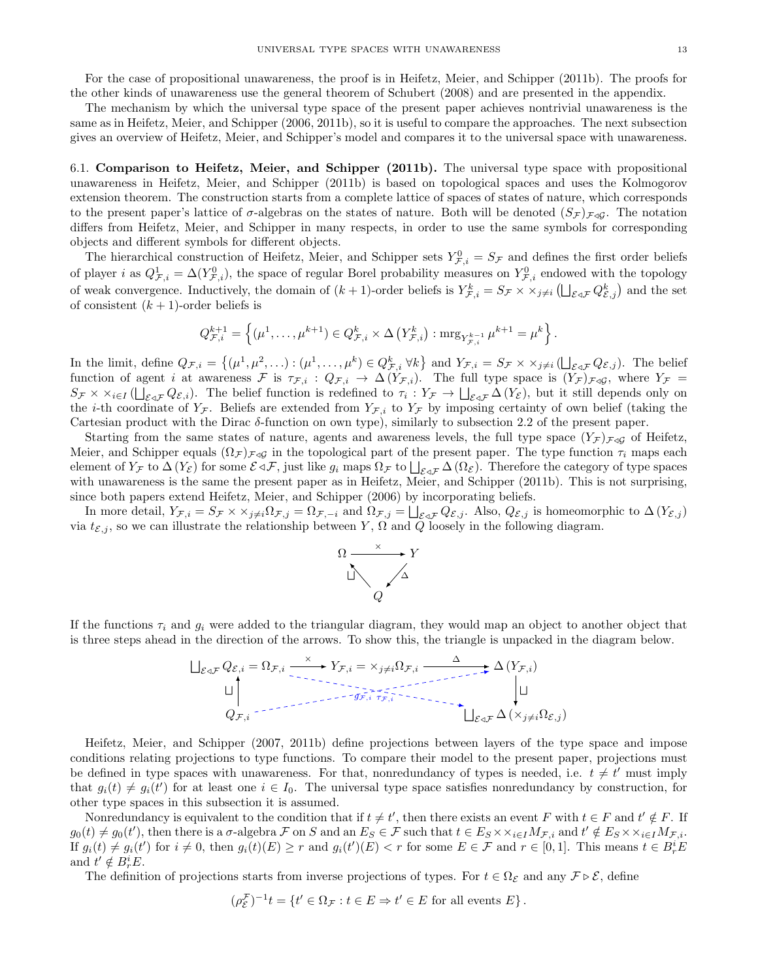For the case of propositional unawareness, the proof is in Heifetz, Meier, and Schipper (2011b). The proofs for the other kinds of unawareness use the general theorem of Schubert (2008) and are presented in the appendix.

The mechanism by which the universal type space of the present paper achieves nontrivial unawareness is the same as in Heifetz, Meier, and Schipper (2006, 2011b), so it is useful to compare the approaches. The next subsection gives an overview of Heifetz, Meier, and Schipper's model and compares it to the universal space with unawareness.

6.1. Comparison to Heifetz, Meier, and Schipper (2011b). The universal type space with propositional unawareness in Heifetz, Meier, and Schipper (2011b) is based on topological spaces and uses the Kolmogorov extension theorem. The construction starts from a complete lattice of spaces of states of nature, which corresponds to the present paper's lattice of  $\sigma$ -algebras on the states of nature. Both will be denoted  $(S_{\mathcal{F}})_{\mathcal{F}\triangleleft\mathcal{G}}$ . The notation differs from Heifetz, Meier, and Schipper in many respects, in order to use the same symbols for corresponding objects and different symbols for different objects.

The hierarchical construction of Heifetz, Meier, and Schipper sets  $Y_{\mathcal{F},i}^0 = S_{\mathcal{F}}$  and defines the first order beliefs of player i as  $Q_{\mathcal{F},i}^1 = \Delta(Y_{\mathcal{F},i}^0)$ , the space of regular Borel probability measures on  $Y_{\mathcal{F},i}^0$  endowed with the topology of weak convergence. Inductively, the domain of  $(k+1)$ -order beliefs is  $Y_{\mathcal{F},i}^k = S_{\mathcal{F}} \times \times_{j \neq i} (\bigsqcup_{\mathcal{E} \triangleleft \mathcal{F}} Q_{\mathcal{E},j}^k)$  and the set of consistent  $(k + 1)$ -order beliefs is

$$
Q_{\mathcal{F},i}^{k+1} = \left\{ (\mu^1, \ldots, \mu^{k+1}) \in Q_{\mathcal{F},i}^k \times \Delta \left( Y_{\mathcal{F},i}^k \right) : \operatorname{mrg}_{Y_{\mathcal{F},i}^{k-1}} \mu^{k+1} = \mu^k \right\}.
$$

In the limit, define  $Q_{\mathcal{F},i} = \{(\mu^1, \mu^2, \ldots) : (\mu^1, \ldots, \mu^k) \in Q_{\mathcal{F},i}^k \,\forall k\}$  and  $Y_{\mathcal{F},i} = S_{\mathcal{F}} \times \times_{j \neq i} (\bigsqcup_{\mathcal{E} \triangleleft \mathcal{F}} Q_{\mathcal{E},j})$ . The belief function of agent *i* at awareness F is  $\tau_{\mathcal{F},i}$  :  $Q_{\mathcal{F},i} \to \Delta(Y_{\mathcal{F},i})$ . The full type space is  $(Y_{\mathcal{F}})_{\mathcal{F}\triangleleft\mathcal{G}}$ , where  $Y_{\mathcal{F}}$  =  $S_{\mathcal{F}} \times \times_{i \in I} (\bigsqcup_{\mathcal{E} \triangleleft \mathcal{F}} Q_{\mathcal{E},i}).$  The belief function is redefined to  $\tau_i : Y_{\mathcal{F}} \to \bigsqcup_{\mathcal{E} \triangleleft \mathcal{F}} \Delta(Y_{\mathcal{E}})$ , but it still depends only on the *i*-th coordinate of  $Y_{\mathcal{F}}$ . Beliefs are extended from  $Y_{\mathcal{F},i}$  to  $Y_{\mathcal{F}}$  by imposing certainty of own belief (taking the Cartesian product with the Dirac  $\delta$ -function on own type), similarly to subsection 2.2 of the present paper.

Starting from the same states of nature, agents and awareness levels, the full type space  $(Y_{\mathcal{F}})_{\mathcal{F}\triangleleft\mathcal{G}}$  of Heifetz, Meier, and Schipper equals  $(\Omega_{\mathcal{F}})_{\mathcal{F}\triangleleft\mathcal{G}}$  in the topological part of the present paper. The type function  $\tau_i$  maps each element of  $Y_{\mathcal{F}}$  to  $\Delta(Y_{\mathcal{E}})$  for some  $\mathcal{E} \triangleleft \mathcal{F}$ , just like  $g_i$  maps  $\Omega_{\mathcal{F}}$  to  $\bigsqcup_{\mathcal{E} \triangleleft \mathcal{F}} \Delta(\Omega_{\mathcal{E}})$ . Therefore the category of type spaces with unawareness is the same the present paper as in Heifetz, Meier, and Schipper (2011b). This is not surprising, since both papers extend Heifetz, Meier, and Schipper (2006) by incorporating beliefs.

In more detail,  $Y_{\mathcal{F},i} = S_{\mathcal{F}} \times \times_{j \neq i} \Omega_{\mathcal{F},j} = \Omega_{\mathcal{F},-i}$  and  $\Omega_{\mathcal{F},j} = \bigsqcup_{\mathcal{E} \triangleleft \mathcal{F}} Q_{\mathcal{E},j}$ . Also,  $Q_{\mathcal{E},j}$  is homeomorphic to  $\Delta(Y_{\mathcal{E},j})$ via  $t_{\mathcal{E},j}$ , so we can illustrate the relationship between Y,  $\Omega$  and  $\tilde{Q}$  loosely in the following diagram.



If the functions  $\tau_i$  and  $g_i$  were added to the triangular diagram, they would map an object to another object that is three steps ahead in the direction of the arrows. To show this, the triangle is unpacked in the diagram below.



Heifetz, Meier, and Schipper (2007, 2011b) define projections between layers of the type space and impose conditions relating projections to type functions. To compare their model to the present paper, projections must be defined in type spaces with unawareness. For that, nonredundancy of types is needed, i.e.  $t \neq t'$  must imply that  $g_i(t) \neq g_i(t')$  for at least one  $i \in I_0$ . The universal type space satisfies nonredundancy by construction, for other type spaces in this subsection it is assumed.

Nonredundancy is equivalent to the condition that if  $t \neq t'$ , then there exists an event F with  $t \in F$  and  $t' \notin F$ . If  $g_0(t) \neq g_0(t')$ , then there is a  $\sigma$ -algebra F on S and an  $E_S \in \mathcal{F}$  such that  $t \in E_S \times \times_{i \in I} M_{\mathcal{F},i}$  and  $t' \notin E_S \times \times_{i \in I} M_{\mathcal{F},i}$ . If  $g_i(t) \neq g_i(t')$  for  $i \neq 0$ , then  $g_i(t)(E) \geq r$  and  $g_i(t')(E) < r$  for some  $E \in \mathcal{F}$  and  $r \in [0,1]$ . This means  $t \in B_r^i E$ and  $t' \notin B_r^i E$ .

The definition of projections starts from inverse projections of types. For  $t \in \Omega_{\mathcal{E}}$  and any  $\mathcal{F} \triangleright \mathcal{E}$ , define

$$
(\rho_{\mathcal{E}}^{\mathcal{F}})^{-1}t = \{ t' \in \Omega_{\mathcal{F}} : t \in E \Rightarrow t' \in E \text{ for all events } E \}.
$$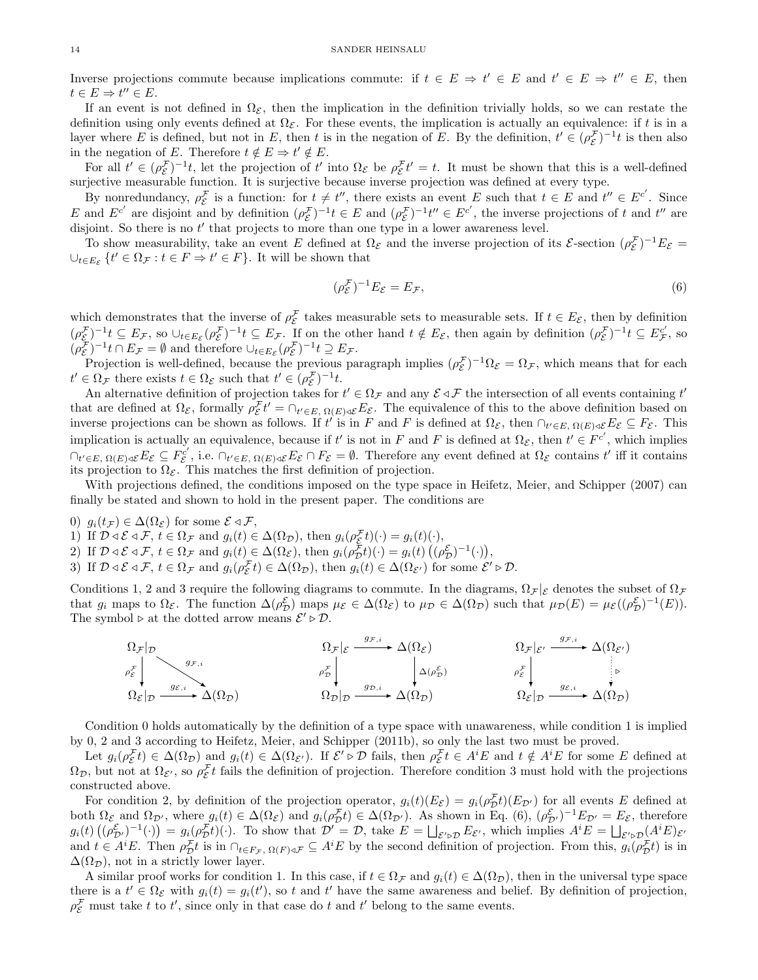Inverse projections commute because implications commute: if  $t \in E \Rightarrow t' \in E$  and  $t' \in E \Rightarrow t'' \in E$ , then  $t \in E \Rightarrow t'' \in E.$ 

If an event is not defined in  $\Omega_{\mathcal{E}}$ , then the implication in the definition trivially holds, so we can restate the definition using only events defined at  $\Omega_{\mathcal{E}}$ . For these events, the implication is actually an equivalence: if t is in a layer where E is defined, but not in E, then t is in the negation of E. By the definition,  $t' \in (\rho_{\mathcal{E}}^{\mathcal{F}})^{-1}$  is then also in the negation of E. Therefore  $t \notin E \Rightarrow t' \notin E$ .

For all  $t' \in (\rho_{\mathcal{E}}^{\mathcal{F}})^{-1}t$ , let the projection of  $t'$  into  $\Omega_{\mathcal{E}}$  be  $\rho_{\mathcal{E}}^{\mathcal{F}}t' = t$ . It must be shown that this is a well-defined surjective measurable function. It is surjective because inverse projection was defined at every type.

By nonredundancy,  $\rho_{\mathcal{E}}^{\mathcal{F}}$  is a function: for  $t \neq t''$ , there exists an event E such that  $t \in E$  and  $t'' \in E^{c'}$ . Since E and  $E^{c'}$  are disjoint and by definition  $(\rho_{\mathcal{E}}^{\mathcal{F}})^{-1}t \in E$  and  $(\rho_{\mathcal{E}}^{\mathcal{F}})^{-1}t'' \in E^{c'}$ , the inverse projections of t and t'' are disjoint. So there is no  $t'$  that projects to more than one type in a lower awareness level.

To show measurability, take an event E defined at  $\Omega_{\mathcal{E}}$  and the inverse projection of its E-section  $(\rho_{\mathcal{E}}^{\mathcal{F}})^{-1}E_{\mathcal{E}}=$  $\cup_{t\in E_{\mathcal{E}}}$   $\{t'\in\Omega_{\mathcal{F}}:t\in F\Rightarrow t'\in F\}$ . It will be shown that

$$
(\rho_{\mathcal{E}}^{\mathcal{F}})^{-1}E_{\mathcal{E}} = E_{\mathcal{F}},\tag{6}
$$

which demonstrates that the inverse of  $\rho_{\mathcal{E}}^{\mathcal{F}}$  takes measurable sets to measurable sets. If  $t \in E_{\mathcal{E}}$ , then by definition  $(\rho_{\mathcal{E}}^{\mathcal{F}})^{-1}t \subseteq E_{\mathcal{F}}$ , so  $\cup_{t \in E_{\mathcal{E}}} (\rho_{\mathcal{E}}^{\mathcal{F}})^{-1}t \subseteq E_{\mathcal{F}}$ . If on the other hand  $t \notin E_{\mathcal{E}}$ , then again by definition  $(\rho_{\mathcal{E}}^{\mathcal{F}})^{-1}t \subseteq E_{\mathcal{F}}^{c'}$ , so  $(\rho_{\mathcal{E}}^{\mathcal{F}})^{-1}t \cap E_{\mathcal{F}} = \emptyset$  and therefore  $\cup_{t \in E_{\mathcal{E}}} (\rho_{\mathcal{E}}^{\mathcal{F}})^{-1}t \supseteq E_{\mathcal{F}}$ .

Projection is well-defined, because the previous paragraph implies  $(\rho_{\mathcal{E}}^{\mathcal{F}})^{-1}\Omega_{\mathcal{E}} = \Omega_{\mathcal{F}}$ , which means that for each  $t' \in \Omega_{\mathcal{F}}$  there exists  $t \in \Omega_{\mathcal{E}}$  such that  $t' \in (\rho_{\mathcal{E}}^{\mathcal{F}})^{-1}t$ .

An alternative definition of projection takes for  $t' \in \Omega_{\mathcal{F}}$  and any  $\mathcal{E} \triangleleft \mathcal{F}$  the intersection of all events containing  $t'$ that are defined at  $\Omega_{\mathcal{E}}$ , formally  $\rho_{\mathcal{E}}^{\mathcal{F}} t' = \cap_{t' \in E, \Omega(E) \triangleleft \mathcal{E}} E_{\mathcal{E}}$ . The equivalence of this to the above definition based on inverse projections can be shown as follows. If t' is in F and F is defined at  $\Omega_{\mathcal{E}}$ , then  $\cap_{t' \in E, \Omega(E) \triangleleft \mathcal{E}} E_{\mathcal{E}} \subseteq F_{\mathcal{E}}$ . This implication is actually an equivalence, because if t' is not in F and F is defined at  $\Omega_{\mathcal{E}}$ , then  $t' \in F^{c'}$ , which implies  $\cap_{t' \in E, \Omega(E) \triangleleft \mathcal{E}} E_{\mathcal{E}} \subseteq F_{\mathcal{E}}^{c'}$ , i.e.  $\cap_{t' \in E, \Omega(E) \triangleleft \mathcal{E}} E_{\mathcal{E}} \cap F_{\mathcal{E}} = \emptyset$ . Therefore any event defined at  $\Omega_{\mathcal{E}}$  contains t' iff it contains its projection to  $\Omega_{\mathcal{E}}$ . This matches the first definition of projection.

With projections defined, the conditions imposed on the type space in Heifetz, Meier, and Schipper (2007) can finally be stated and shown to hold in the present paper. The conditions are

- 0)  $g_i(t_\mathcal{F}) \in \Delta(\Omega_\mathcal{E})$  for some  $\mathcal{E} \triangleleft \mathcal{F}$ ,
- 1) If  $\mathcal{D} \triangleleft \mathcal{E} \triangleleft \mathcal{F}$ ,  $t \in \Omega_{\mathcal{F}}$  and  $g_i(t) \in \Delta(\Omega_{\mathcal{D}})$ , then  $g_i(\rho_{\mathcal{E}}^{\mathcal{F}}t)(\cdot) = g_i(t)(\cdot)$ ,
- 2) If  $\mathcal{D} \triangleleft \mathcal{E} \triangleleft \mathcal{F}, t \in \Omega_{\mathcal{F}}$  and  $g_i(t) \in \Delta(\Omega_{\mathcal{E}})$ , then  $g_i(\rho_{\mathcal{D}}^{\mathcal{F}}t)(\cdot) = g_i(t) \left( (\rho_{\mathcal{D}}^{\mathcal{E}})^{-1}(\cdot) \right)$ ,
- 3) If  $\mathcal{D} \triangleleft \mathcal{E} \triangleleft \mathcal{F}, t \in \Omega_{\mathcal{F}}$  and  $g_i(\rho_{\mathcal{E}}^{\mathcal{F}}t) \in \Delta(\Omega_{\mathcal{D}})$ , then  $g_i(t) \in \Delta(\Omega_{\mathcal{E}'})$  for some  $\mathcal{E}' \triangleright \mathcal{D}$ .

Conditions 1, 2 and 3 require the following diagrams to commute. In the diagrams,  $\Omega_{\mathcal{F}}|_{\mathcal{E}}$  denotes the subset of  $\Omega_{\mathcal{F}}$ that  $g_i$  maps to  $\Omega_{\mathcal{E}}$ . The function  $\Delta(\rho_{\mathcal{D}}^{\mathcal{E}})$  maps  $\mu_{\mathcal{E}} \in \Delta(\Omega_{\mathcal{E}})$  to  $\mu_{\mathcal{D}} \in \Delta(\Omega_{\mathcal{D}})$  such that  $\mu_{\mathcal{D}}(E) = \mu_{\mathcal{E}}((\rho_{\mathcal{D}}^{\mathcal{E}})^{-1}(E)).$ The symbol  $\triangleright$  at the dotted arrow means  $\mathcal{E}' \triangleright \mathcal{D}$ .

$$
\Omega_{\mathcal{F}}|_{\mathcal{D}} \longrightarrow \Omega_{\mathcal{F},i} \longrightarrow \Omega_{\mathcal{D}}|_{\mathcal{D}} \longrightarrow \Omega_{\mathcal{D}}|_{\mathcal{D}} \longrightarrow \Omega_{\mathcal{D}}|_{\mathcal{D}} \longrightarrow \Omega_{\mathcal{D}}|_{\mathcal{D}} \longrightarrow \Omega_{\mathcal{D}}|_{\mathcal{D}} \longrightarrow \Omega_{\mathcal{D}}|_{\mathcal{D}} \longrightarrow \Omega_{\mathcal{D}}|_{\mathcal{D}} \longrightarrow \Omega_{\mathcal{D}}|_{\mathcal{D}} \longrightarrow \Omega_{\mathcal{D}}|_{\mathcal{D}} \longrightarrow \Omega_{\mathcal{D}}|_{\mathcal{D}} \longrightarrow \Omega_{\mathcal{D}}|_{\mathcal{D}} \longrightarrow \Omega_{\mathcal{D}}|_{\mathcal{D}} \longrightarrow \Omega_{\mathcal{D}}|_{\mathcal{D}} \longrightarrow \Omega_{\mathcal{D}}|_{\mathcal{D}} \longrightarrow \Omega_{\mathcal{D}}|_{\mathcal{D}} \longrightarrow \Omega_{\mathcal{D}}|_{\mathcal{D}} \longrightarrow \Omega_{\mathcal{D}}|_{\mathcal{D}} \longrightarrow \Omega_{\mathcal{D}}|_{\mathcal{D}} \longrightarrow \Omega_{\mathcal{D}}|_{\mathcal{D}} \longrightarrow \Omega_{\mathcal{D}}|_{\mathcal{D}} \longrightarrow \Omega_{\mathcal{D}}|_{\mathcal{D}} \longrightarrow \Omega_{\mathcal{D}}|_{\mathcal{D}} \longrightarrow \Omega_{\mathcal{D}}|_{\mathcal{D}} \longrightarrow \Omega_{\mathcal{D}}|_{\mathcal{D}} \longrightarrow \Omega_{\mathcal{D}}|_{\mathcal{D}} \longrightarrow \Omega_{\mathcal{D}}|_{\mathcal{D}} \longrightarrow \Omega_{\mathcal{D}}|_{\mathcal{D}} \longrightarrow \Omega_{\mathcal{D}}|_{\mathcal{D}} \longrightarrow \Omega_{\mathcal{D}}|_{\mathcal{D}} \longrightarrow \Omega_{\mathcal{D}}|_{\mathcal{D}} \longrightarrow \Omega_{\mathcal{D}}|_{\mathcal{D}} \longrightarrow \Omega_{\mathcal{D}}|_{\mathcal{D}} \longrightarrow \Omega_{\mathcal{D}}|_{\mathcal{D}} \longrightarrow \Omega_{\mathcal{D}}|_{\mathcal{D}} \longrightarrow \Omega_{\mathcal{D}}|_{\mathcal{D}} \longrightarrow \Omega_{\mathcal{D}}|_{\mathcal{D}} \longrightarrow \Omega_{\mathcal{D}}|_{\mathcal{D}} \longrightarrow \Omega_{\mathcal{D}}|_{\mathcal{D}} \longrightarrow \Omega_{\mathcal
$$

Condition 0 holds automatically by the definition of a type space with unawareness, while condition 1 is implied by 0, 2 and 3 according to Heifetz, Meier, and Schipper (2011b), so only the last two must be proved.

Let  $g_i(\rho_{\mathcal{E}}^{\mathcal{F}}t) \in \Delta(\Omega_{\mathcal{D}})$  and  $g_i(t) \in \Delta(\Omega_{\mathcal{E}'})$ . If  $\mathcal{E}' \triangleright \mathcal{D}$  fails, then  $\rho_{\mathcal{E}}^{\mathcal{F}}t \in A^iE$  and  $t \notin A^iE$  for some E defined at  $\Omega_{\mathcal{D}}$ , but not at  $\Omega_{\mathcal{E}'}$ , so  $\rho_{\mathcal{E}}^{\mathcal{F}}t$  fails the definition of projection. Therefore condition 3 must hold with the projections constructed above.

For condition 2, by definition of the projection operator,  $g_i(t)(E_{\mathcal{E}}) = g_i(\rho_{\mathcal{D}}^{\mathcal{F}}t)(E_{\mathcal{D}'})$  for all events E defined at both  $\Omega_{\mathcal{E}}$  and  $\Omega_{\mathcal{D}'}$ , where  $g_i(t) \in \Delta(\Omega_{\mathcal{E}})$  and  $g_i(\rho_{\mathcal{D}}^{\mathcal{F}}t) \in \Delta(\Omega_{\mathcal{D}'})$ . As shown in Eq. (6),  $(\rho_{\mathcal{D}'}^{\mathcal{E}})^{-1}E_{\mathcal{D}'}=E_{\mathcal{E}}$ , therefore  $g_i(t) \left( (\rho_{\mathcal{D}'}^{\mathcal{E}})^{-1}(\cdot) \right) = g_i(\rho_{\mathcal{D}}^{\mathcal{F}} t)(\cdot)$ . To show that  $\mathcal{D}' = \mathcal{D}$ , take  $E = \bigsqcup_{\mathcal{E}' \triangleright \mathcal{D}} E_{\mathcal{E}'}$ , which implies  $A^i E = \bigsqcup_{\mathcal{E}' \triangleright \mathcal{D}} (A^i E)_{\mathcal{E}'}$ and  $t \in A^iE$ . Then  $\rho_{\mathcal{D}}^{\mathcal{F}}t$  is in  $\cap_{t \in F_{\mathcal{F}}}, \Omega(F) \triangleleft \mathcal{F} \subseteq A^iE$  by the second definition of projection. From this,  $g_i(\rho_{\mathcal{D}}^{\mathcal{F}}t)$  is in  $\Delta(\Omega_{\mathcal{D}})$ , not in a strictly lower layer.

A similar proof works for condition 1. In this case, if  $t \in \Omega_{\mathcal{F}}$  and  $g_i(t) \in \Delta(\Omega_{\mathcal{D}})$ , then in the universal type space there is a  $t' \in \Omega_{\mathcal{E}}$  with  $g_i(t) = g_i(t')$ , so t and t' have the same awareness and belief. By definition of projection,  $\rho_{\mathcal{E}}^{\mathcal{F}}$  must take t to t', since only in that case do t and t' belong to the same events.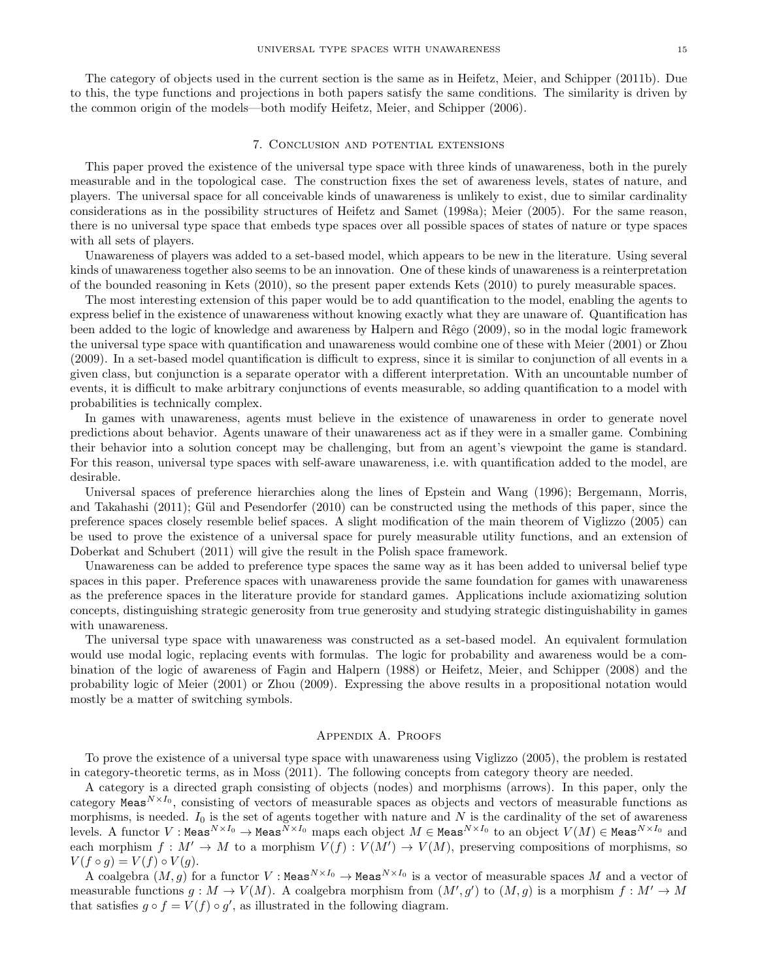The category of objects used in the current section is the same as in Heifetz, Meier, and Schipper (2011b). Due to this, the type functions and projections in both papers satisfy the same conditions. The similarity is driven by the common origin of the models—both modify Heifetz, Meier, and Schipper (2006).

## 7. Conclusion and potential extensions

This paper proved the existence of the universal type space with three kinds of unawareness, both in the purely measurable and in the topological case. The construction fixes the set of awareness levels, states of nature, and players. The universal space for all conceivable kinds of unawareness is unlikely to exist, due to similar cardinality considerations as in the possibility structures of Heifetz and Samet (1998a); Meier (2005). For the same reason, there is no universal type space that embeds type spaces over all possible spaces of states of nature or type spaces with all sets of players.

Unawareness of players was added to a set-based model, which appears to be new in the literature. Using several kinds of unawareness together also seems to be an innovation. One of these kinds of unawareness is a reinterpretation of the bounded reasoning in Kets (2010), so the present paper extends Kets (2010) to purely measurable spaces.

The most interesting extension of this paper would be to add quantification to the model, enabling the agents to express belief in the existence of unawareness without knowing exactly what they are unaware of. Quantification has been added to the logic of knowledge and awareness by Halpern and Rêgo (2009), so in the modal logic framework the universal type space with quantification and unawareness would combine one of these with Meier (2001) or Zhou (2009). In a set-based model quantification is difficult to express, since it is similar to conjunction of all events in a given class, but conjunction is a separate operator with a different interpretation. With an uncountable number of events, it is difficult to make arbitrary conjunctions of events measurable, so adding quantification to a model with probabilities is technically complex.

In games with unawareness, agents must believe in the existence of unawareness in order to generate novel predictions about behavior. Agents unaware of their unawareness act as if they were in a smaller game. Combining their behavior into a solution concept may be challenging, but from an agent's viewpoint the game is standard. For this reason, universal type spaces with self-aware unawareness, i.e. with quantification added to the model, are desirable.

Universal spaces of preference hierarchies along the lines of Epstein and Wang (1996); Bergemann, Morris, and Takahashi (2011); Gül and Pesendorfer (2010) can be constructed using the methods of this paper, since the preference spaces closely resemble belief spaces. A slight modification of the main theorem of Viglizzo (2005) can be used to prove the existence of a universal space for purely measurable utility functions, and an extension of Doberkat and Schubert (2011) will give the result in the Polish space framework.

Unawareness can be added to preference type spaces the same way as it has been added to universal belief type spaces in this paper. Preference spaces with unawareness provide the same foundation for games with unawareness as the preference spaces in the literature provide for standard games. Applications include axiomatizing solution concepts, distinguishing strategic generosity from true generosity and studying strategic distinguishability in games with unawareness.

The universal type space with unawareness was constructed as a set-based model. An equivalent formulation would use modal logic, replacing events with formulas. The logic for probability and awareness would be a combination of the logic of awareness of Fagin and Halpern (1988) or Heifetz, Meier, and Schipper (2008) and the probability logic of Meier (2001) or Zhou (2009). Expressing the above results in a propositional notation would mostly be a matter of switching symbols.

## Appendix A. Proofs

To prove the existence of a universal type space with unawareness using Viglizzo (2005), the problem is restated in category-theoretic terms, as in Moss (2011). The following concepts from category theory are needed.

A category is a directed graph consisting of objects (nodes) and morphisms (arrows). In this paper, only the category Meas $^{N \times I_0}$ , consisting of vectors of measurable spaces as objects and vectors of measurable functions as morphisms, is needed.  $I_0$  is the set of agents together with nature and N is the cardinality of the set of awareness levels. A functor  $V:$  Meas $^{N\times I_0}\to$  Meas $^{N\times I_0}$  maps each object  $M\in$  Meas $^{N\times I_0}$  to an object  $V(M)\in$  Meas $^{N\times I_0}$  and each morphism  $f: M' \to M$  to a morphism  $V(f): V(M') \to V(M)$ , preserving compositions of morphisms, so  $V(f \circ g) = V(f) \circ V(g).$ 

A coalgebra  $(M, g)$  for a functor  $V : \text{Meas}^{N \times I_0} \to \text{Meas}^{N \times I_0}$  is a vector of measurable spaces  $M$  and a vector of measurable functions  $g: M \to V(M)$ . A coalgebra morphism from  $(M', g')$  to  $(M, g)$  is a morphism  $f: M' \to M$ that satisfies  $g \circ f = V(f) \circ g'$ , as illustrated in the following diagram.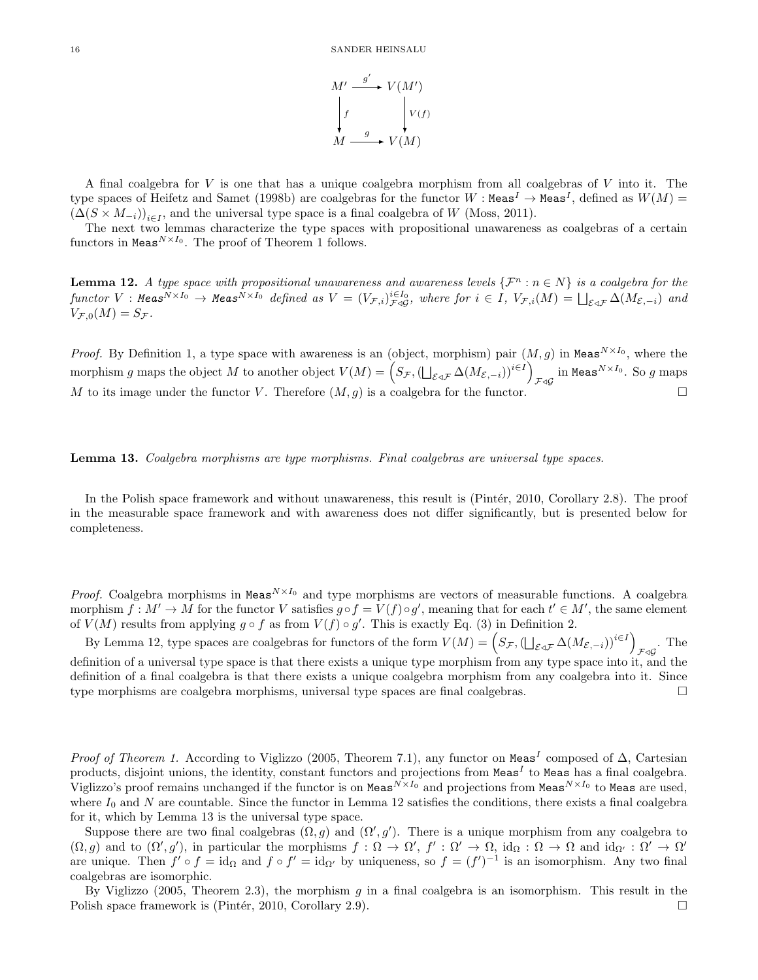

A final coalgebra for V is one that has a unique coalgebra morphism from all coalgebras of V into it. The type spaces of Heifetz and Samet (1998b) are coalgebras for the functor  $W : \text{Meas}^I \to \text{Meas}^I$ , defined as  $W(M) =$  $(\Delta(S \times M_{-i}))_{i \in I}$ , and the universal type space is a final coalgebra of W (Moss, 2011).

The next two lemmas characterize the type spaces with propositional unawareness as coalgebras of a certain functors in Meas $^{N\times I_0}$ . The proof of Theorem 1 follows.

**Lemma 12.** A type space with propositional unawareness and awareness levels  $\{\mathcal{F}^n : n \in \mathbb{N}\}\$ is a coalgebra for the  $\textit{functor}\;V:\textit{Meas}^{N\times I_0}\to\textit{Meas}^{N\times I_0}\;\textit{defined as}\;V=(V_{\mathcal{F},i})_{\mathcal{F}\triangleleft\mathcal{G}}^{i\in I_0},\;\textit{where for}\;i\in I,\;V_{\mathcal{F},i}(M)=\bigsqcup_{\mathcal{E}\triangleleft\mathcal{F}}\Delta(M_{\mathcal{E},-i})\;\textit{and}\;V_{\mathcal{F},i}(M)=\bigsqcup_{\mathcal{E}\triangleleft\mathcal{F}}\Delta(M_{\mathcal{E},-i})\;\textit{and}\;V_{\mathcal{F},i}(M)=\bigsq$  $V_{\mathcal{F},0}(M) = S_{\mathcal{F}}$ .

*Proof.* By Definition 1, a type space with awareness is an (object, morphism) pair  $(M, g)$  in Meas<sup>N×I<sub>0</sub></sub>, where the</sup> morphism g maps the object M to another object  $V(M) = \left(S_{\mathcal{F}}, (\bigsqcup_{\mathcal{E} \triangleleft \mathcal{F}} \Delta(M_{\mathcal{E},-i}))^{i \in I}\right)$  $_{\mathcal{F}\triangleleft\mathcal{G}}$  in Meas $^{N\times I_0}.$  So  $g$  maps M to its image under the functor V. Therefore  $(M, q)$  is a coalgebra for the functor.

# Lemma 13. Coalgebra morphisms are type morphisms. Final coalgebras are universal type spaces.

In the Polish space framework and without unawareness, this result is (Pintér, 2010, Corollary 2.8). The proof in the measurable space framework and with awareness does not differ significantly, but is presented below for completeness.

*Proof.* Coalgebra morphisms in Meas<sup>N×I<sub>0</sub></sub> and type morphisms are vectors of measurable functions. A coalgebra</sup> morphism  $f: M' \to M$  for the functor V satisfies  $g \circ f = V(f) \circ g'$ , meaning that for each  $t' \in M'$ , the same element of  $V(M)$  results from applying  $g \circ f$  as from  $V(f) \circ g'$ . This is exactly Eq. (3) in Definition 2.

By Lemma 12, type spaces are coalgebras for functors of the form  $V(M) = \left(S_{\mathcal{F}}, (\bigcup_{\mathcal{E} \triangle \mathcal{F}} \Delta(M_{\mathcal{E}, -i}))^{i \in I}\right)$  $\mathcal{F} \triangleleft \mathcal{G}$ . The definition of a universal type space is that there exists a unique type morphism from any type space into it, and the definition of a final coalgebra is that there exists a unique coalgebra morphism from any coalgebra into it. Since type morphisms are coalgebra morphisms, universal type spaces are final coalgebras.

*Proof of Theorem 1.* According to Viglizzo (2005, Theorem 7.1), any functor on Meas<sup>I</sup> composed of  $\Delta$ , Cartesian products, disjoint unions, the identity, constant functors and projections from Meas<sup>I</sup> to Meas has a final coalgebra. Viglizzo's proof remains unchanged if the functor is on Meas<sup>N×I<sub>0</sub></sub> and projections from Meas<sup>N×I<sub>0</sub></sub> to Meas are used,</sup></sup> where  $I_0$  and N are countable. Since the functor in Lemma 12 satisfies the conditions, there exists a final coalgebra for it, which by Lemma 13 is the universal type space.

Suppose there are two final coalgebras  $(\Omega, g)$  and  $(\Omega', g')$ . There is a unique morphism from any coalgebra to  $(\Omega, g)$  and to  $(\Omega', g')$ , in particular the morphisms  $f : \Omega \to \Omega'$ ,  $f' : \Omega' \to \Omega$ , id $\Omega : \Omega \to \Omega$  and id $\Omega' : \Omega' \to \Omega'$ are unique. Then  $f' \circ f = id_{\Omega}$  and  $f \circ f' = id_{\Omega'}$  by uniqueness, so  $f = (f')^{-1}$  is an isomorphism. Any two final coalgebras are isomorphic.

By Viglizzo (2005, Theorem 2.3), the morphism  $q$  in a final coalgebra is an isomorphism. This result in the Polish space framework is (Pintér, 2010, Corollary 2.9).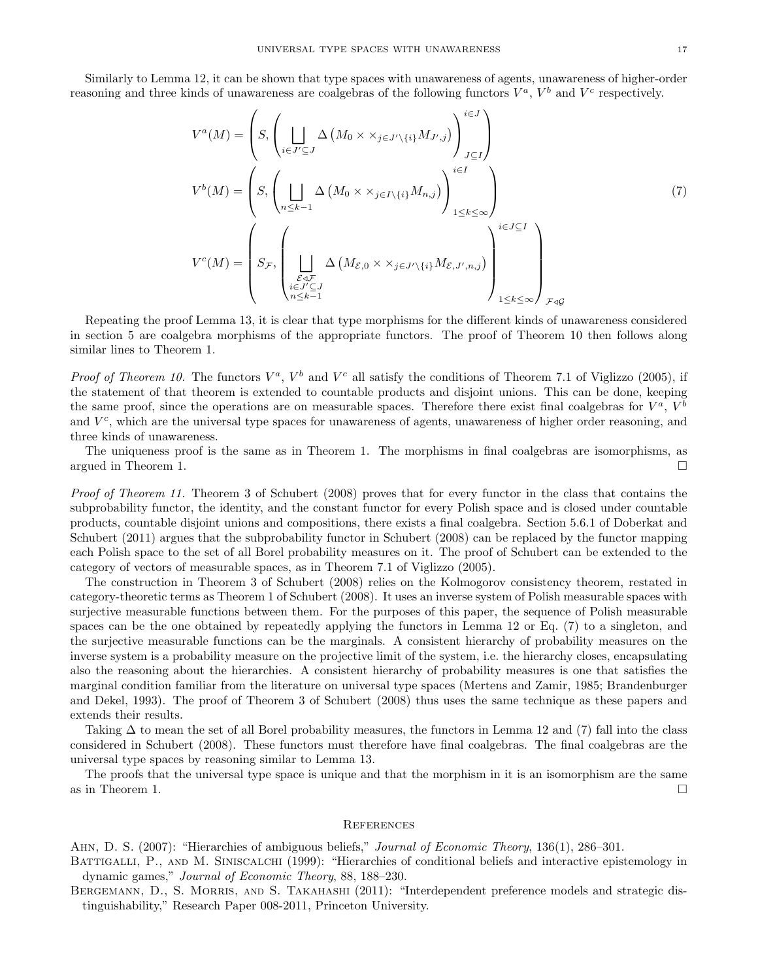Similarly to Lemma 12, it can be shown that type spaces with unawareness of agents, unawareness of higher-order reasoning and three kinds of unawareness are coalgebras of the following functors  $V^a$ ,  $V^b$  and  $V^c$  respectively.

$$
V^{a}(M) = \left(S, \left(\bigsqcup_{i \in J' \subseteq J} \Delta\left(M_{0} \times \times_{j \in J' \setminus \{i\}} M_{J',j}\right)\right)_{J \subseteq I}^{i \in J}\right)
$$
  

$$
V^{b}(M) = \left(S, \left(\bigsqcup_{n \leq k-1} \Delta\left(M_{0} \times \times_{j \in I \setminus \{i\}} M_{n,j}\right)\right)_{1 \leq k \leq \infty}^{i \in I}\right)
$$
  

$$
V^{c}(M) = \left(S_{\mathcal{F}}, \left(\bigsqcup_{\substack{\mathcal{E} \triangle \mathcal{F} \\ i \in J' \subseteq J}} \Delta\left(M_{\mathcal{E},0} \times \times_{j \in J' \setminus \{i\}} M_{\mathcal{E},J',n,j}\right)\right)_{1 \leq k \leq \infty}^{i \in J \subseteq I}\right)_{\mathcal{F} \triangleleft \mathcal{G}}
$$
  

$$
(7)
$$

Repeating the proof Lemma 13, it is clear that type morphisms for the different kinds of unawareness considered in section 5 are coalgebra morphisms of the appropriate functors. The proof of Theorem 10 then follows along similar lines to Theorem 1.

*Proof of Theorem 10.* The functors  $V^a$ ,  $V^b$  and  $V^c$  all satisfy the conditions of Theorem 7.1 of Viglizzo (2005), if the statement of that theorem is extended to countable products and disjoint unions. This can be done, keeping the same proof, since the operations are on measurable spaces. Therefore there exist final coalgebras for  $V^a$ ,  $V^b$ and  $V<sup>c</sup>$ , which are the universal type spaces for unawareness of agents, unawareness of higher order reasoning, and three kinds of unawareness.

The uniqueness proof is the same as in Theorem 1. The morphisms in final coalgebras are isomorphisms, as argued in Theorem 1.  $\Box$ 

Proof of Theorem 11. Theorem 3 of Schubert (2008) proves that for every functor in the class that contains the subprobability functor, the identity, and the constant functor for every Polish space and is closed under countable products, countable disjoint unions and compositions, there exists a final coalgebra. Section 5.6.1 of Doberkat and Schubert (2011) argues that the subprobability functor in Schubert (2008) can be replaced by the functor mapping each Polish space to the set of all Borel probability measures on it. The proof of Schubert can be extended to the category of vectors of measurable spaces, as in Theorem 7.1 of Viglizzo (2005).

The construction in Theorem 3 of Schubert (2008) relies on the Kolmogorov consistency theorem, restated in category-theoretic terms as Theorem 1 of Schubert (2008). It uses an inverse system of Polish measurable spaces with surjective measurable functions between them. For the purposes of this paper, the sequence of Polish measurable spaces can be the one obtained by repeatedly applying the functors in Lemma 12 or Eq. (7) to a singleton, and the surjective measurable functions can be the marginals. A consistent hierarchy of probability measures on the inverse system is a probability measure on the projective limit of the system, i.e. the hierarchy closes, encapsulating also the reasoning about the hierarchies. A consistent hierarchy of probability measures is one that satisfies the marginal condition familiar from the literature on universal type spaces (Mertens and Zamir, 1985; Brandenburger and Dekel, 1993). The proof of Theorem 3 of Schubert (2008) thus uses the same technique as these papers and extends their results.

Taking  $\Delta$  to mean the set of all Borel probability measures, the functors in Lemma 12 and (7) fall into the class considered in Schubert (2008). These functors must therefore have final coalgebras. The final coalgebras are the universal type spaces by reasoning similar to Lemma 13.

The proofs that the universal type space is unique and that the morphism in it is an isomorphism are the same as in Theorem 1.  $\Box$ 

#### **REFERENCES**

AHN, D. S. (2007): "Hierarchies of ambiguous beliefs," Journal of Economic Theory, 136(1), 286–301.

BATTIGALLI, P., AND M. SINISCALCHI (1999): "Hierarchies of conditional beliefs and interactive epistemology in dynamic games," Journal of Economic Theory, 88, 188–230.

BERGEMANN, D., S. MORRIS, AND S. TAKAHASHI (2011): "Interdependent preference models and strategic distinguishability," Research Paper 008-2011, Princeton University.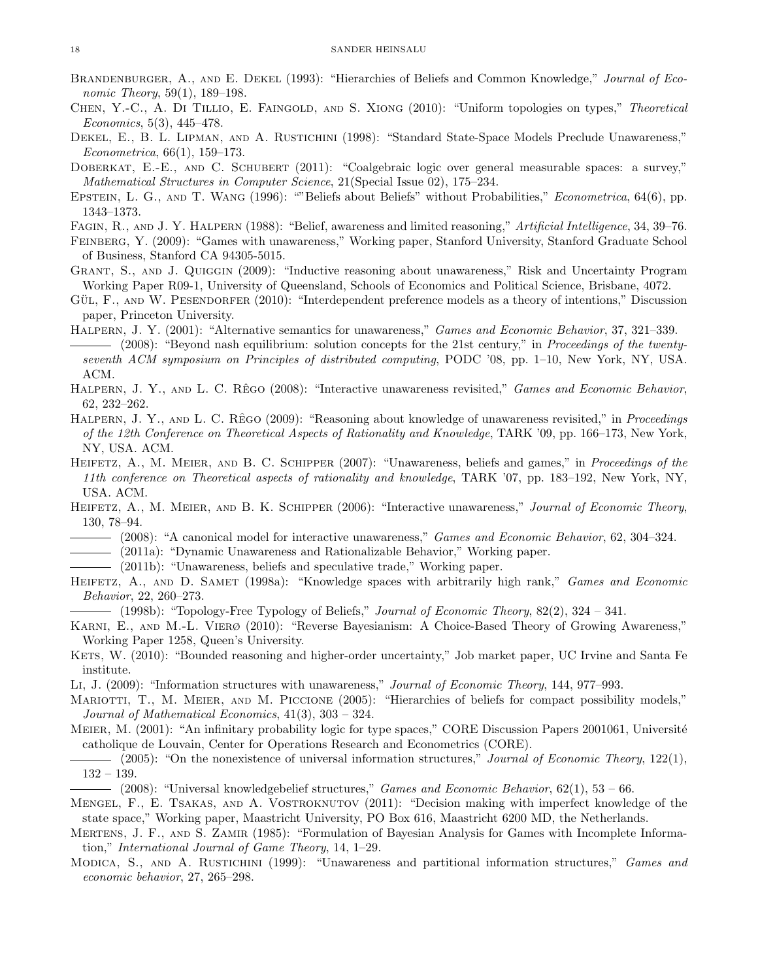- BRANDENBURGER, A., AND E. DEKEL (1993): "Hierarchies of Beliefs and Common Knowledge," Journal of Economic Theory, 59(1), 189–198.
- CHEN, Y.-C., A. DI TILLIO, E. FAINGOLD, AND S. XIONG (2010): "Uniform topologies on types," Theoretical  $Economics, 5(3), 445-478.$
- DEKEL, E., B. L. LIPMAN, AND A. RUSTICHINI (1998): "Standard State-Space Models Preclude Unawareness," Econometrica, 66(1), 159–173.
- DOBERKAT, E.-E., AND C. SCHUBERT (2011): "Coalgebraic logic over general measurable spaces: a survey," Mathematical Structures in Computer Science, 21(Special Issue 02), 175–234.
- EPSTEIN, L. G., AND T. WANG (1996): ""Beliefs about Beliefs" without Probabilities," Econometrica, 64(6), pp. 1343–1373.
- Fagin, R., and J. Y. Halpern (1988): "Belief, awareness and limited reasoning," Artificial Intelligence, 34, 39–76.
- Feinberg, Y. (2009): "Games with unawareness," Working paper, Stanford University, Stanford Graduate School of Business, Stanford CA 94305-5015.
- Grant, S., and J. Quiggin (2009): "Inductive reasoning about unawareness," Risk and Uncertainty Program Working Paper R09-1, University of Queensland, Schools of Economics and Political Science, Brisbane, 4072.
- GÜL, F., AND W. PESENDORFER (2010): "Interdependent preference models as a theory of intentions," Discussion paper, Princeton University.
- Halpern, J. Y. (2001): "Alternative semantics for unawareness," Games and Economic Behavior, 37, 321–339. (2008): "Beyond nash equilibrium: solution concepts for the 21st century," in Proceedings of the twentyseventh ACM symposium on Principles of distributed computing, PODC '08, pp. 1–10, New York, NY, USA. ACM.
- HALPERN, J. Y., AND L. C. RÊGO (2008): "Interactive unawareness revisited," Games and Economic Behavior, 62, 232–262.
- HALPERN, J. Y., AND L. C. RÊGO (2009): "Reasoning about knowledge of unawareness revisited," in *Proceedings* of the 12th Conference on Theoretical Aspects of Rationality and Knowledge, TARK '09, pp. 166–173, New York, NY, USA. ACM.
- HEIFETZ, A., M. MEIER, AND B. C. SCHIPPER (2007): "Unawareness, beliefs and games," in Proceedings of the 11th conference on Theoretical aspects of rationality and knowledge, TARK '07, pp. 183–192, New York, NY, USA. ACM.
- HEIFETZ, A., M. MEIER, AND B. K. SCHIPPER (2006): "Interactive unawareness," Journal of Economic Theory, 130, 78–94.
- (2008): "A canonical model for interactive unawareness," *Games and Economic Behavior*, 62, 304–324.
- (2011a): "Dynamic Unawareness and Rationalizable Behavior," Working paper.
- (2011b): "Unawareness, beliefs and speculative trade," Working paper.
- HEIFETZ, A., AND D. SAMET (1998a): "Knowledge spaces with arbitrarily high rank," Games and Economic Behavior, 22, 260–273.
- $(1998b)$ : "Topology-Free Typology of Beliefs," Journal of Economic Theory,  $82(2)$ ,  $324 341$ .
- Karni, E., and M.-L. Vierø (2010): "Reverse Bayesianism: A Choice-Based Theory of Growing Awareness," Working Paper 1258, Queen's University.
- KETS, W. (2010): "Bounded reasoning and higher-order uncertainty," Job market paper, UC Irvine and Santa Fe institute.
- Li, J. (2009): "Information structures with unawareness," Journal of Economic Theory, 144, 977–993.
- Mariotti, T., M. Meier, and M. Piccione (2005): "Hierarchies of beliefs for compact possibility models," Journal of Mathematical Economics, 41(3), 303 – 324.
- MEIER, M. (2001): "An infinitary probability logic for type spaces," CORE Discussion Papers 2001061, Université catholique de Louvain, Center for Operations Research and Econometrics (CORE).
- $-$  (2005): "On the nonexistence of universal information structures," *Journal of Economic Theory*, 122(1), 132 – 139.
	- $-$  (2008): "Universal knowledgebelief structures," *Games and Economic Behavior*, 62(1), 53 66.
- MENGEL, F., E. TSAKAS, AND A. VOSTROKNUTOV (2011): "Decision making with imperfect knowledge of the state space," Working paper, Maastricht University, PO Box 616, Maastricht 6200 MD, the Netherlands.
- Mertens, J. F., and S. Zamir (1985): "Formulation of Bayesian Analysis for Games with Incomplete Information," International Journal of Game Theory, 14, 1–29.
- MODICA, S., AND A. RUSTICHINI (1999): "Unawareness and partitional information structures," Games and economic behavior, 27, 265–298.